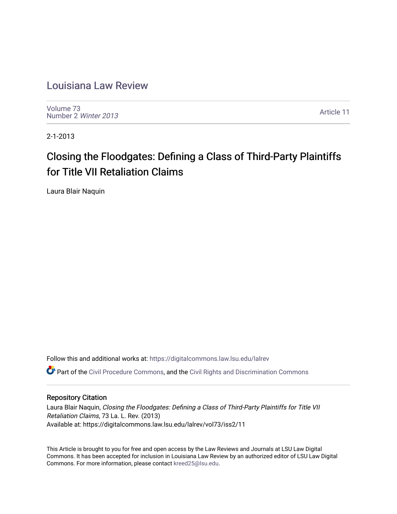## [Louisiana Law Review](https://digitalcommons.law.lsu.edu/lalrev)

[Volume 73](https://digitalcommons.law.lsu.edu/lalrev/vol73) [Number 2](https://digitalcommons.law.lsu.edu/lalrev/vol73/iss2) Winter 2013

[Article 11](https://digitalcommons.law.lsu.edu/lalrev/vol73/iss2/11) 

2-1-2013

# Closing the Floodgates: Defining a Class of Third-Party Plaintiffs for Title VII Retaliation Claims

Laura Blair Naquin

Follow this and additional works at: [https://digitalcommons.law.lsu.edu/lalrev](https://digitalcommons.law.lsu.edu/lalrev?utm_source=digitalcommons.law.lsu.edu%2Flalrev%2Fvol73%2Fiss2%2F11&utm_medium=PDF&utm_campaign=PDFCoverPages)

Part of the [Civil Procedure Commons,](http://network.bepress.com/hgg/discipline/584?utm_source=digitalcommons.law.lsu.edu%2Flalrev%2Fvol73%2Fiss2%2F11&utm_medium=PDF&utm_campaign=PDFCoverPages) and the [Civil Rights and Discrimination Commons](http://network.bepress.com/hgg/discipline/585?utm_source=digitalcommons.law.lsu.edu%2Flalrev%2Fvol73%2Fiss2%2F11&utm_medium=PDF&utm_campaign=PDFCoverPages)

#### Repository Citation

Laura Blair Naquin, Closing the Floodgates: Defining a Class of Third-Party Plaintiffs for Title VII Retaliation Claims, 73 La. L. Rev. (2013) Available at: https://digitalcommons.law.lsu.edu/lalrev/vol73/iss2/11

This Article is brought to you for free and open access by the Law Reviews and Journals at LSU Law Digital Commons. It has been accepted for inclusion in Louisiana Law Review by an authorized editor of LSU Law Digital Commons. For more information, please contact [kreed25@lsu.edu](mailto:kreed25@lsu.edu).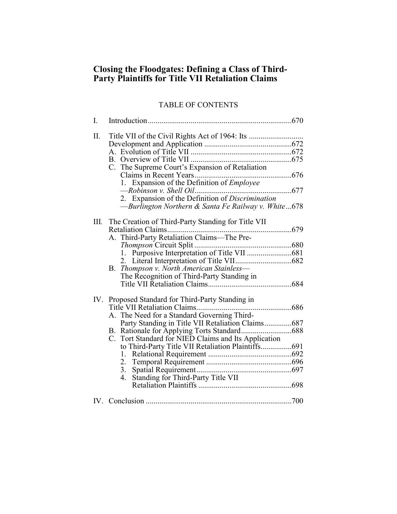### **Closing the Floodgates: Defining a Class of Third-Party Plaintiffs for Title VII Retaliation Claims**

## TABLE OF CONTENTS

| I.   |                                                                                                                                                                                                                                                                                                     |  |
|------|-----------------------------------------------------------------------------------------------------------------------------------------------------------------------------------------------------------------------------------------------------------------------------------------------------|--|
| Π.   | C. The Supreme Court's Expansion of Retaliation<br>1. Expansion of the Definition of Employee<br>—Burlington Northern & Santa Fe Railway v. White  678                                                                                                                                              |  |
| III. | The Creation of Third-Party Standing for Title VII<br>.679<br>Retaliation Claims<br>.<br>.<br>A. Third-Party Retaliation Claims—The Pre-<br>B. Thompson v. North American Stainless-<br>The Recognition of Third-Party Standing in                                                                  |  |
|      | IV. Proposed Standard for Third-Party Standing in<br>.686<br>A. The Need for a Standard Governing Third-<br>Party Standing in Title VII Retaliation Claims687<br>C. Tort Standard for NIED Claims and Its Application<br>to Third-Party Title VII Retaliation Plaintiffs691<br>1.<br>2.<br>3.<br>4. |  |
|      |                                                                                                                                                                                                                                                                                                     |  |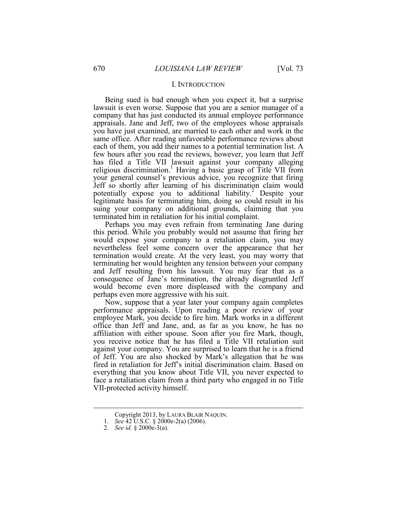#### I. INTRODUCTION

potentially expose you to additional liability.<sup>2</sup> Despite your Being sued is bad enough when you expect it, but a surprise lawsuit is even worse. Suppose that you are a senior manager of a company that has just conducted its annual employee performance appraisals. Jane and Jeff, two of the employees whose appraisals you have just examined, are married to each other and work in the same office. After reading unfavorable performance reviews about each of them, you add their names to a potential termination list. A few hours after you read the reviews, however, you learn that Jeff has filed a Title VII lawsuit against your company alleging religious discrimination.<sup>1</sup> Having a basic grasp of Title VII from your general counsel's previous advice, you recognize that firing Jeff so shortly after learning of his discrimination claim would legitimate basis for terminating him, doing so could result in his suing your company on additional grounds, claiming that you terminated him in retaliation for his initial complaint.

 Perhaps you may even refrain from terminating Jane during would expose your company to a retaliation claim, you may termination would create. At the very least, you may worry that this period. While you probably would not assume that firing her nevertheless feel some concern over the appearance that her terminating her would heighten any tension between your company and Jeff resulting from his lawsuit. You may fear that as a consequence of Jane's termination, the already disgruntled Jeff would become even more displeased with the company and perhaps even more aggressive with his suit.

 Now, suppose that a year later your company again completes performance appraisals. Upon reading a poor review of your employee Mark, you decide to fire him. Mark works in a different office than Jeff and Jane, and, as far as you know, he has no affiliation with either spouse. Soon after you fire Mark, though, you receive notice that he has filed a Title VII retaliation suit against your company. You are surprised to learn that he is a friend of Jeff. You are also shocked by Mark's allegation that he was fired in retaliation for Jeff's initial discrimination claim. Based on everything that you know about Title VII, you never expected to face a retaliation claim from a third party who engaged in no Title VII-protected activity himself.

<u>.</u>

Copyright 2013, by LAURA BLAIR NAQUIN.

 1. *See* 42 U.S.C. § 2000e-2(a) (2006).

 <sup>2.</sup> *See id.* § 2000e-3(a).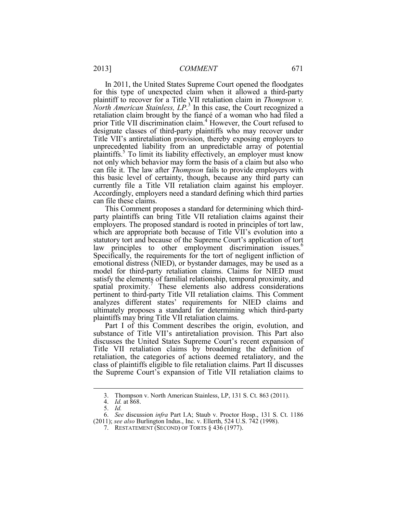Title VII's antiretaliation provision, thereby exposing employers to this basic level of certainty, though, because any third party can Accordingly, employers need a standard defining which third parties In 2011, the United States Supreme Court opened the floodgates for this type of unexpected claim when it allowed a third-party plaintiff to recover for a Title VII retaliation claim in *Thompson v. North American Stainless, LP*. 3 In this case, the Court recognized a retaliation claim brought by the fiancé of a woman who had filed a prior Title VII discrimination claim.<sup>4</sup> However, the Court refused to designate classes of third-party plaintiffs who may recover under unprecedented liability from an unpredictable array of potential plaintiffs.<sup>5</sup> To limit its liability effectively, an employer must know not only which behavior may form the basis of a claim but also who can file it. The law after *Thompson* fails to provide employers with currently file a Title VII retaliation claim against his employer. can file these claims.

 party plaintiffs can bring Title VII retaliation claims against their This Comment proposes a standard for determining which thirdemployers. The proposed standard is rooted in principles of tort law, which are appropriate both because of Title VII's evolution into a statutory tort and because of the Supreme Court's application of tort law principles to other employment discrimination issues.<sup>6</sup> Specifically, the requirements for the tort of negligent infliction of emotional distress (NIED), or bystander damages, may be used as a model for third-party retaliation claims. Claims for NIED must satisfy the elements of familial relationship, temporal proximity, and spatial proximity.<sup>7</sup> These elements also address considerations pertinent to third-party Title VII retaliation claims. This Comment analyzes different states' requirements for NIED claims and ultimately proposes a standard for determining which third-party plaintiffs may bring Title VII retaliation claims.

 class of plaintiffs eligible to file retaliation claims. Part II discusses Part I of this Comment describes the origin, evolution, and substance of Title VII's antiretaliation provision. This Part also discusses the United States Supreme Court's recent expansion of Title VII retaliation claims by broadening the definition of retaliation, the categories of actions deemed retaliatory, and the the Supreme Court's expansion of Title VII retaliation claims to

<u>.</u>

<sup>3.</sup> Thompson v. North American Stainless, LP, 131 S. Ct. 863 (2011).

 <sup>4.</sup> *Id.* at 868.

 <sup>5.</sup> *Id.*

 <sup>6.</sup> *See* discussion *infra* Part I.A; Staub v. Proctor Hosp., 131 S. Ct. 1186 (2011); *see also* Burlington Indus., Inc. v. Ellerth, 524 U.S. 742 (1998).

 <sup>7.</sup> RESTATEMENT (SECOND) OF TORTS § 436 (1977).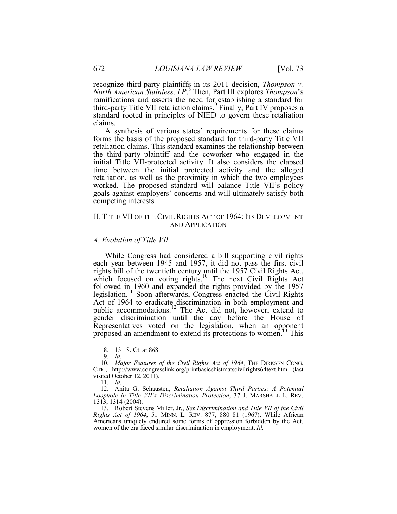standard rooted in principles of NIED to govern these retaliation recognize third-party plaintiffs in its 2011 decision, *Thompson v. North American Stainless, LP*. 8 Then, Part III explores *Thompson*'s ramifications and asserts the need for establishing a standard for third-party Title VII retaliation claims.<sup>9</sup> Finally, Part IV proposes a claims.

 initial Title VII-protected activity. It also considers the elapsed A synthesis of various states' requirements for these claims forms the basis of the proposed standard for third-party Title VII retaliation claims. This standard examines the relationship between the third-party plaintiff and the coworker who engaged in the time between the initial protected activity and the alleged retaliation, as well as the proximity in which the two employees worked. The proposed standard will balance Title VII's policy goals against employers' concerns and will ultimately satisfy both competing interests.

#### II. TITLE VII OF THE CIVIL RIGHTS ACT OF 1964: ITS DEVELOPMENT AND APPLICATION

#### *A. Evolution of Title VII*

While Congress had considered a bill supporting civil rights each year between 1945 and 1957, it did not pass the first civil rights bill of the twentieth century until the 1957 Civil Rights Act, which focused on voting rights.<sup>10</sup> The next Civil Rights Act followed in 1960 and expanded the rights provided by the 1957 legislation.11 Soon afterwards, Congress enacted the Civil Rights Act of 1964 to eradicate discrimination in both employment and public accommodations.12 The Act did not, however, extend to gender discrimination until the day before the House of Representatives voted on the legislation, when an opponent proposed an amendment to extend its protections to women.<sup>13</sup> This

<sup>8. 131</sup> S. Ct. at 868.

<sup>9.</sup> Id.<br>10. Major Features of the Civil Rights Act of 1964, THE DIRKSEN CONG. 10. *Major Features of the Civil Rights Act of 1964*, THE DIRKSEN CONG. CTR., http://www.congresslink.org/printbasicshistmatscivilrights64text.htm (last visited October 12, 2011).

 <sup>11.</sup> *Id.* 

<sup>12.</sup> Anita G. Schausten, *Retaliation Against Third Parties: A Potential Loophole in Title VII's Discrimination Protection*, 37 J. MARSHALL L. REV. 1313, 1314 (2004).

 *Rights Act of 1964*, 51 MINN. L. REV. 877, 880–81 (1967). While African 13. Robert Stevens Miller, Jr., *Sex Discrimination and Title VII of the Civil*  Americans uniquely endured some forms of oppression forbidden by the Act, women of the era faced similar discrimination in employment. *Id.*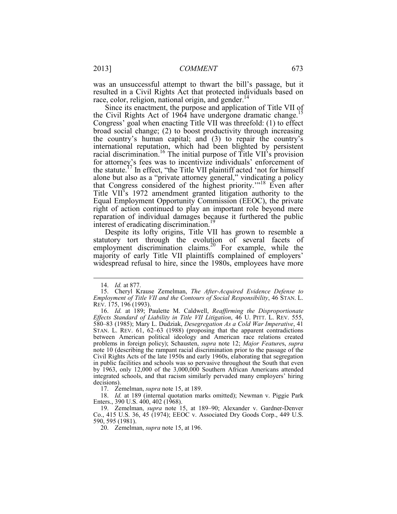was an unsuccessful attempt to thwart the bill's passage, but it resulted in a Civil Rights Act that protected individuals based on race, color, religion, national origin, and gender.<sup>14</sup>

 Congress' goal when enacting Title VII was threefold: (1) to effect the statute.<sup>17</sup> In effect, "the Title VII plaintiff acted 'not for himself Since its enactment, the purpose and application of Title VII of the Civil Rights Act of 1964 have undergone dramatic change.<sup>15</sup> broad social change; (2) to boost productivity through increasing the country's human capital; and (3) to repair the country's international reputation, which had been blighted by persistent racial discrimination.16 The initial purpose of Title VII's provision for attorney's fees was to incentivize individuals' enforcement of alone but also as a "private attorney general," vindicating a policy that Congress considered of the highest priority.'"18 Even after Title VII's 1972 amendment granted litigation authority to the Equal Employment Opportunity Commission (EEOC), the private right of action continued to play an important role beyond mere reparation of individual damages because it furthered the public interest of eradicating discrimination.<sup>19</sup>

Despite its lofty origins, Title VII has grown to resemble a statutory tort through the evolution of several facets of employment discrimination claims.<sup>20</sup> For example, while the majority of early Title VII plaintiffs complained of employers' widespread refusal to hire, since the 1980s, employees have more

1

17. Zemelman, *supra* note 15, at 189.

 18. *Id.* at 189 (internal quotation marks omitted); Newman v. Piggie Park Enters., 390 U.S. 400, 402 (1968).

 Co., 415 U.S. 36, 45 (1974); EEOC v. Associated Dry Goods Corp., 449 U.S. 19. Zemelman, *supra* note 15, at 189–90; Alexander v. Gardner-Denver 590, 595 (1981).

20. Zemelman, *supra* note 15, at 196.

 <sup>14.</sup> *Id.* at 877.

 *Employment of Title VII and the Contours of Social Responsibility*, 46 STAN. L. 15. Cheryl Krause Zemelman, *The After-Acquired Evidence Defense to*  REV. 175, 196 (1993).

 *Effects Standard of Liability in Title VII Litigation*, 46 U. PITT. L. REV. 555, 580–83 (1985); Mary L. Dudziak, *Desegregation As a Cold War Imperative*, 41 STAN. L. REV. 61, 62–63 (1988) (proposing that the apparent contradictions Civil Rights Acts of the late 1950s and early 1960s, elaborating that segregation in public facilities and schools was so pervasive throughout the South that even 16. *Id.* at 189; Paulette M. Caldwell, *Reaffirming the Disproportionate* between American political ideology and American race relations created problems in foreign policy); Schausten, *supra* note 12; *Major Feature*s, *supra*  note 10 (describing the rampant racial discrimination prior to the passage of the by 1963, only 12,000 of the 3,000,000 Southern African Americans attended integrated schools, and that racism similarly pervaded many employers' hiring decisions).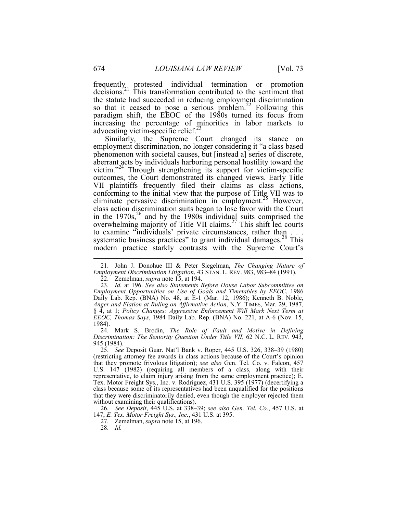frequently protested individual termination or promotion decisions.<sup>21</sup> This transformation contributed to the sentiment that the statute had succeeded in reducing employment discrimination so that it ceased to pose a serious problem.<sup>22</sup> Following this paradigm shift, the EEOC of the 1980s turned its focus from increasing the percentage of minorities in labor markets to advocating victim-specific relief. $^{23}$ 

Similarly, the Supreme Court changed its stance on employment discrimination, no longer considering it "a class based phenomenon with societal causes, but [instead a] series of discrete, aberrant acts by individuals harboring personal hostility toward the victim."24 Through strengthening its support for victim-specific outcomes, the Court demonstrated its changed views. Early Title VII plaintiffs frequently filed their claims as class actions, conforming to the initial view that the purpose of Title VII was to eliminate pervasive discrimination in employment.25 However, class action discrimination suits began to lose favor with the Court in the  $1970s$ ,<sup>26</sup> and by the 1980s individual suits comprised the overwhelming majority of Title VII claims.<sup>27</sup> This shift led courts to examine "individuals' private circumstances, rather than . . . systematic business practices" to grant individual damages.<sup>28</sup> This modern practice starkly contrasts with the Supreme Court's

 *Discrimination: The Seniority Question Under Title VII*, 62 N.C. L. REV. 943, 24. Mark S. Brodin, *The Role of Fault and Motive in Defining*  945 (1984).

 25. *See* Deposit Guar. Nat'l Bank v. Roper, 445 U.S. 326, 338–39 (1980) (restricting attorney fee awards in class actions because of the Court's opinion that they promote frivolous litigation); *see also* Gen. Tel. Co. v. Falcon, 457 U.S. 147 (1982) (requiring all members of a class, along with their representative, to claim injury arising from the same employment practice); E. Tex. Motor Freight Sys., Inc. v. Rodriguez, 431 U.S. 395 (1977) (decertifying a class because some of its representatives had been unqualified for the positions that they were discriminatorily denied, even though the employer rejected them without examining their qualifications).

 147; *E. Tex. Motor Freight Sys., Inc.*, 431 U.S. at 395. 26. *See Deposit*, 445 U.S. at 338–39; *see also Gen. Tel. Co.*, 457 U.S. at

27. Zemelman, *supra* note 15, at 196.

28. *Id.* 

 *Employment Discrimination Litigation*, 43 STAN. L. REV. 983, 983–84 (1991). 21. John J. Donohue III & Peter Siegelman, *The Changing Nature of* 

 <sup>22.</sup> Zemelman, *supra* note 15, at 194.

 23. *Id.* at 196. *See also Statements Before House Labor Subcommittee on Employment Opportunities on Use of Goals and Timetables by EEOC*, 1986 Daily Lab. Rep. (BNA) No. 48, at E-1 (Mar. 12, 1986); Kenneth B. Noble, *Anger and Elation at Ruling on Affirmative Action*, N.Y. TIMES, Mar. 29, 1987, § 4, at 1; *Policy Changes: Aggressive Enforcement Will Mark Next Term at EEOC, Thomas Says*, 1984 Daily Lab. Rep. (BNA) No. 221, at A-6 (Nov. 15, 1984).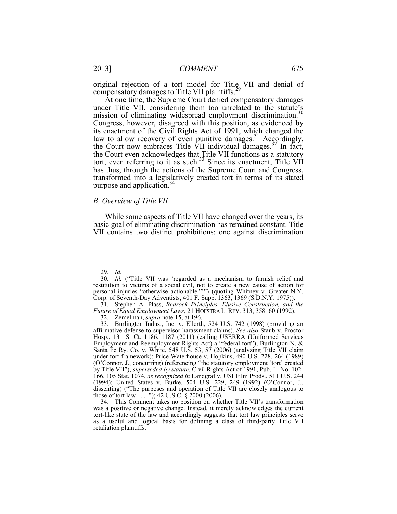original rejection of a tort model for Title VII and denial of compensatory damages to Title VII plaintiffs.<sup>29</sup>

At one time, the Supreme Court denied compensatory damages under Title VII, considering them too unrelated to the statute's mission of eliminating widespread employment discrimination.<sup>30</sup> Congress, however, disagreed with this position, as evidenced by its enactment of the Civil Rights Act of 1991, which changed the law to allow recovery of even punitive damages.<sup>31</sup> Accordingly, the Court now embraces Title  $\overline{VII}$  individual damages.<sup>32</sup> In fact, the Court even acknowledges that Title VII functions as a statutory tort, even referring to it as such.<sup>33</sup> Since its enactment, Title VII has thus, through the actions of the Supreme Court and Congress, transformed into a legislatively created tort in terms of its stated purpose and application.<sup>34</sup>

#### *B. Overview of Title VII*

 While some aspects of Title VII have changed over the years, its basic goal of eliminating discrimination has remained constant. Title VII contains two distinct prohibitions: one against discrimination

 <sup>29.</sup> *Id.*

 <sup>30.</sup> *Id.* ("Title VII was 'regarded as a mechanism to furnish relief and restitution to victims of a social evil, not to create a new cause of action for personal injuries "otherwise actionable."'") (quoting Whitney v. Greater N.Y. Corp. of Seventh-Day Adventists, 401 F. Supp. 1363, 1369 (S.D.N.Y. 1975)).

 31. Stephen A. Plass, *Bedrock Principles, Elusive Construction, and the Future of Equal Employment Laws*, 21 HOFSTRA L. REV. 313, 358–60 (1992).

 <sup>32.</sup> Zemelman, *supra* note 15, at 196.

 affirmative defense to supervisor harassment claims). *See also* Staub v. Proctor 166, 105 Stat. 1074, *as recognized in* Landgraf v. USI Film Prods., 511 U.S. 244 33. Burlington Indus., Inc. v. Ellerth, 524 U.S. 742 (1998) (providing an Hosp., 131 S. Ct. 1186, 1187 (2011) (calling USERRA (Uniformed Services Employment and Reemployment Rights Act) a "federal tort"); Burlington N. & Santa Fe Ry. Co. v. White, 548 U.S. 53, 57 (2006) (analyzing Title VII claim under tort framework); Price Waterhouse v. Hopkins, 490 U.S. 228, 264 (1989) (O'Connor, J., concurring) (referencing "the statutory employment 'tort' created by Title VII"), *superseded by statute*, Civil Rights Act of 1991, Pub. L. No. 102- (1994); United States v. Burke, 504 U.S. 229, 249 (1992) (O'Connor, J., dissenting) ("The purposes and operation of Title VII are closely analogous to those of tort law  $\dots$ ."); 42 U.S.C. § 2000 (2006).

 tort-like state of the law and accordingly suggests that tort law principles serve 34. This Comment takes no position on whether Title VII's transformation was a positive or negative change. Instead, it merely acknowledges the current as a useful and logical basis for defining a class of third-party Title VII retaliation plaintiffs.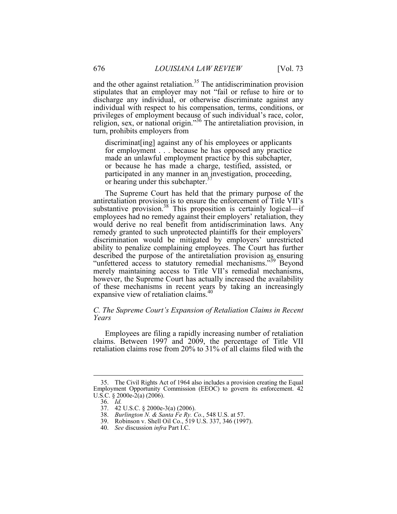and the other against retaliation.<sup>35</sup> The antidiscrimination provision stipulates that an employer may not "fail or refuse to hire or to discharge any individual, or otherwise discriminate against any individual with respect to his compensation, terms, conditions, or privileges of employment because of such individual's race, color, religion, sex, or national origin."<sup>36</sup> The antiretaliation provision, in turn, prohibits employers from

 for employment . . . because he has opposed any practice or hearing under this subchapter.<sup>37</sup> discriminat [ing] against any of his employees or applicants made an unlawful employment practice by this subchapter, or because he has made a charge, testified, assisted, or participated in any manner in an investigation, proceeding,

 antiretaliation provision is to ensure the enforcement of Title VII's The Supreme Court has held that the primary purpose of the substantive provision.<sup>38</sup> This proposition is certainly logical—if employees had no remedy against their employers' retaliation, they would derive no real benefit from antidiscrimination laws. Any remedy granted to such unprotected plaintiffs for their employers' discrimination would be mitigated by employers' unrestricted ability to penalize complaining employees. The Court has further described the purpose of the antiretaliation provision as ensuring "unfettered access to statutory remedial mechanisms."<sup>39</sup> Beyond merely maintaining access to Title VII's remedial mechanisms, however, the Supreme Court has actually increased the availability of these mechanisms in recent years by taking an increasingly expansive view of retaliation claims.<sup>40</sup>

#### *C. The Supreme Court's Expansion of Retaliation Claims in Recent Years*

Employees are filing a rapidly increasing number of retaliation claims. Between 1997 and 2009, the percentage of Title VII retaliation claims rose from 20% to 31% of all claims filed with the

<sup>35.</sup> The Civil Rights Act of 1964 also includes a provision creating the Equal Employment Opportunity Commission (EEOC) to govern its enforcement. 42 U.S.C. § 2000e-2(a) (2006).

 <sup>36.</sup> *Id.* 

<sup>37. 42</sup> U.S.C. § 2000e-3(a) (2006).

 38. *Burlington N. & Santa Fe Ry. Co.*, 548 U.S. at 57.

<sup>39.</sup> Robinson v. Shell Oil Co., 519 U.S. 337, 346 (1997).

 <sup>40.</sup> *See* discussion *infra* Part I.C.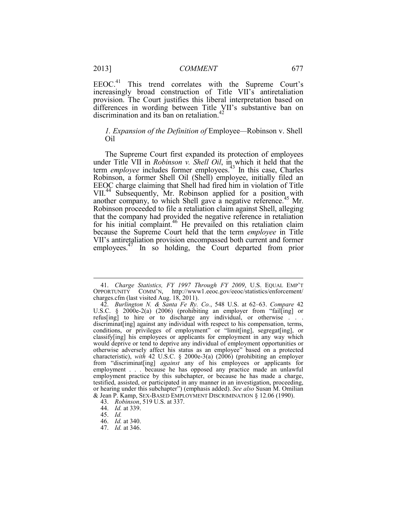EEOC.<sup>41</sup> This trend correlates with the Supreme Court's increasingly broad construction of Title VII's antiretaliation provision. The Court justifies this liberal interpretation based on differences in wording between Title VII's substantive ban on discrimination and its ban on retaliation.<sup>42</sup>

#### *1. Expansion of the Definition of* Employee*—*Robinson v. Shell Oil

another company, to which Shell gave a negative reference.<sup>45</sup> Mr. The Supreme Court first expanded its protection of employees under Title VII in *Robinson v. Shell Oil*, in which it held that the term *employee* includes former employees.43 In this case, Charles Robinson, a former Shell Oil (Shell) employee, initially filed an EEOC charge claiming that Shell had fired him in violation of Title VII.<sup>44</sup> Subsequently, Mr. Robinson applied for a position with Robinson proceeded to file a retaliation claim against Shell, alleging that the company had provided the negative reference in retaliation for his initial complaint.<sup>46</sup> He prevailed on this retaliation claim because the Supreme Court held that the term *employee* in Title VII's antiretaliation provision encompassed both current and former employees.47 In so holding, the Court departed from prior

 <sup>41.</sup> *Charge Statistics, FY 1997 Through FY 2009*, U.S. EQUAL EMP'T OPPORTUNITY COMM'N, http://www1.eeoc.gov/eeoc/statistics/enforcement/ charges.cfm (last visited Aug. 18, 2011).

 classify[ing] his employees or applicants for employment in any way which employment practice by this subchapter, or because he has made a charge, 42. *Burlington N. & Santa Fe Ry. Co.*, 548 U.S. at 62–63. *Compare* 42 U.S.C. § 2000e-2(a) (2006) (prohibiting an employer from "fail[ing] or refus[ing] to hire or to discharge any individual, or otherwise . . . discriminat [ing] against any individual with respect to his compensation, terms, conditions, or privileges of employment" or "limit[ing], segregat[ing], or would deprive or tend to deprive any individual of employment opportunities or otherwise adversely affect his status as an employee" based on a protected characteristic), *with* 42 U.S.C. § 2000e-3(a) (2006) (prohibiting an employer from "discriminat[ing] *against* any of his employees or applicants for employment . . . because he has opposed any practice made an unlawful testified, assisted, or participated in any manner in an investigation, proceeding, or hearing under this subchapter") (emphasis added). *See also* Susan M. Omilian & Jean P. Kamp, SEX-BASED EMPLOYMENT DISCRIMINATION § 12.06 (1990).

 <sup>43.</sup> *Robinson*, 519 U.S. at 337.

 <sup>44.</sup> *Id.* at 339.

 <sup>45.</sup> *Id.* 

 <sup>46.</sup> *Id.* at 340.

 <sup>47.</sup> *Id.* at 346.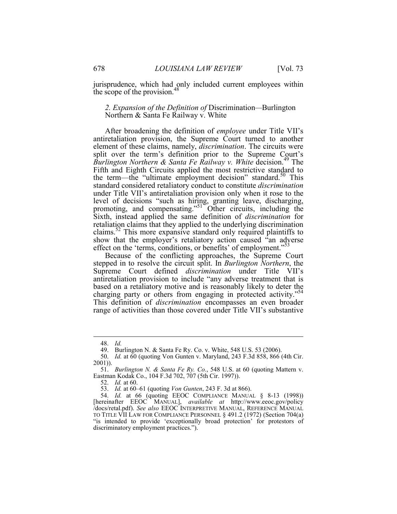jurisprudence, which had only included current employees within the scope of the provision.<sup>48</sup>

#### *2. Expansion of the Definition of* Discrimination*—*Burlington Northern & Santa Fe Railway v. White

After broadening the definition of *employee* under Title VII's antiretaliation provision, the Supreme Court turned to another element of these claims, namely, *discrimination*. The circuits were split over the term's definition prior to the Supreme Court's *Burlington Northern & Santa Fe Railway v. White decision.*<sup>49</sup> The Fifth and Eighth Circuits applied the most restrictive standard to the term—the "ultimate employment decision" standard.<sup>50</sup> This standard considered retaliatory conduct to constitute *discrimination*  under Title VII's antiretaliation provision only when it rose to the level of decisions "such as hiring, granting leave, discharging, promoting, and compensating."<sup>51</sup> Other circuits, including the Sixth, instead applied the same definition of *discrimination* for retaliation claims that they applied to the underlying discrimination claims.52 This more expansive standard only required plaintiffs to show that the employer's retaliatory action caused "an adverse effect on the 'terms, conditions, or benefits' of employment."<sup>53</sup>

Because of the conflicting approaches, the Supreme Court stepped in to resolve the circuit split. In *Burlington Northern*, the Supreme Court defined *discrimination* under Title VII's antiretaliation provision to include "any adverse treatment that is based on a retaliatory motive and is reasonably likely to deter the charging party or others from engaging in protected activity."<sup>54</sup> This definition of *discrimination* encompasses an even broader range of activities than those covered under Title VII's substantive

 <sup>48.</sup> *Id.* 

<sup>49.</sup> Burlington N. & Santa Fe Ry. Co. v. White, 548 U.S. 53 (2006).

 <sup>50.</sup> *Id.* at 60 (quoting Von Gunten v. Maryland, 243 F.3d 858, 866 (4th Cir. 2001)).

 <sup>51.</sup> *Burlington N. & Santa Fe Ry. Co.*, 548 U.S. at 60 (quoting Mattern v. Eastman Kodak Co., 104 F.3d 702, 707 (5th Cir. 1997)).

 <sup>52.</sup> *Id.* at 60.

 53. *Id.* at 60–61 (quoting *Von Gunten*, 243 F. 3d at 866).

 <sup>54.</sup> *Id.* at 66 (quoting EEOC COMPLIANCE MANUAL § 8-13 (1998)) [hereinafter EEOC MANUAL], *available at* http://www.eeoc.gov/policy /docs/retal.pdf). *See also* EEOC INTERPRETIVE MANUAL, REFERENCE MANUAL TO TITLE VII LAW FOR COMPLIANCE PERSONNEL § 491.2 (1972) (Section 704(a) "is intended to provide 'exceptionally broad protection' for protestors of discriminatory employment practices.").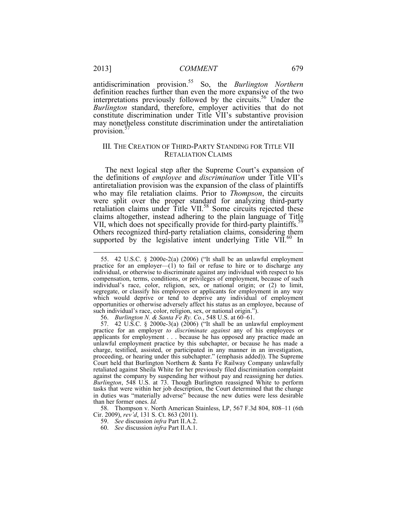*Burlington* standard, therefore, employer activities that do not antidiscrimination provision.55 So, the *Burlington Northern*  definition reaches further than even the more expansive of the two interpretations previously followed by the circuits.<sup>56</sup> Under the constitute discrimination under Title VII's substantive provision may nonetheless constitute discrimination under the antiretaliation provision.<sup>57</sup>

#### III. THE CREATION OF THIRD-PARTY STANDING FOR TITLE VII RETALIATION CLAIMS

The next logical step after the Supreme Court's expansion of the definitions of *employee* and *discrimination* under Title VII's antiretaliation provision was the expansion of the class of plaintiffs who may file retaliation claims. Prior to *Thompson*, the circuits were split over the proper standard for analyzing third-party retaliation claims under Title VII.58 Some circuits rejected these claims altogether, instead adhering to the plain language of Title VII, which does not specifically provide for third-party plaintiffs.<sup>59</sup> Others recognized third-party retaliation claims, considering them supported by the legislative intent underlying Title VII.<sup>60</sup> In

58. Thompson v. North American Stainless, LP, 567 F.3d 804, 808–11 (6th Cir. 2009), *rev'd*, 131 S. Ct. 863 (2011).

- 59. *See* discussion *infra* Part II.A.2.
- 60. *See* discussion *infra* Part II.A.1.

<sup>55. 42</sup> U.S.C. § 2000e-2(a) (2006) ("It shall be an unlawful employment practice for an employer— $(1)$  to fail or refuse to hire or to discharge any individual, or otherwise to discriminate against any individual with respect to his compensation, terms, conditions, or privileges of employment, because of such individual's race, color, religion, sex, or national origin; or (2) to limit, segregate, or classify his employees or applicants for employment in any way which would deprive or tend to deprive any individual of employment opportunities or otherwise adversely affect his status as an employee, because of such individual's race, color, religion, sex, or national origin.").

 56. *Burlington N. & Santa Fe Ry. Co.*, 548 U.S. at 60–61.

 unlawful employment practice by this subchapter, or because he has made a Court held that Burlington Northern & Santa Fe Railway Company unlawfully against the company by suspending her without pay and reassigning her duties. in duties was "materially adverse" because the new duties were less desirable 57. 42 U.S.C. § 2000e-3(a) (2006) ("It shall be an unlawful employment practice for an employer *to discriminate against* any of his employees or applicants for employment . . . because he has opposed any practice made an charge, testified, assisted, or participated in any manner in an investigation, proceeding, or hearing under this subchapter." (emphasis added)). The Supreme retaliated against Sheila White for her previously filed discrimination complaint *Burlington*, 548 U.S. at 73. Though Burlington reassigned White to perform tasks that were within her job description, the Court determined that the change than her former ones. *Id.*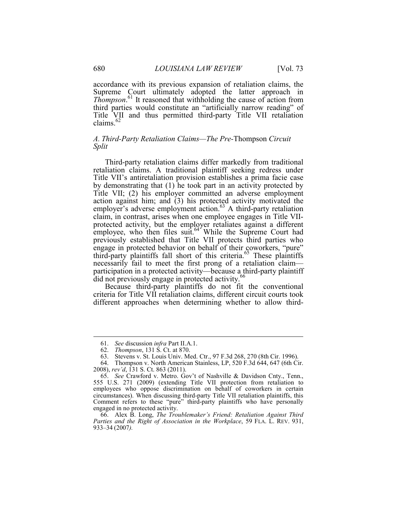accordance with its previous expansion of retaliation claims, the Supreme Court ultimately adopted the latter approach in *Thompson*. 61 It reasoned that withholding the cause of action from third parties would constitute an "artificially narrow reading" of Title VII and thus permitted third-party Title VII retaliation claims.<sup>62</sup>

#### *A. Third-Party Retaliation Claims—The Pre-*Thompson *Circuit Split*

employer's adverse employment action.<sup>63</sup> A third-party retaliation Third-party retaliation claims differ markedly from traditional retaliation claims. A traditional plaintiff seeking redress under Title VII's antiretaliation provision establishes a prima facie case by demonstrating that (1) he took part in an activity protected by Title VII; (2) his employer committed an adverse employment action against him; and (3) his protected activity motivated the claim, in contrast, arises when one employee engages in Title VIIprotected activity, but the employer retaliates against a different employee, who then files suit.<sup>64</sup> While the Supreme Court had previously established that Title VII protects third parties who engage in protected behavior on behalf of their coworkers, "pure" third-party plaintiffs fall short of this criteria.<sup>65</sup> These plaintiffs necessarily fail to meet the first prong of a retaliation claim participation in a protected activity—because a third-party plaintiff did not previously engage in protected activity.<sup>66</sup>

Because third-party plaintiffs do not fit the conventional criteria for Title VII retaliation claims, different circuit courts took different approaches when determining whether to allow third-

 <sup>61.</sup> *See* discussion *infra* Part II.A.1.

 <sup>62.</sup> *Thompson*, 131 S. Ct. at 870.

 63. Stevens v. St. Louis Univ. Med. Ctr., 97 F.3d 268, 270 (8th Cir. 1996).

<sup>64.</sup> Thompson v. North American Stainless, LP, 520 F.3d 644, 647 (6th Cir. 2008), *rev'd*, 131 S. Ct. 863 (2011).

 <sup>65.</sup> *See* Crawford v. Metro. Gov't of Nashville & Davidson Cnty., Tenn., 555 U.S. 271 (2009) (extending Title VII protection from retaliation to employees who oppose discrimination on behalf of coworkers in certain circumstances). When discussing third-party Title VII retaliation plaintiffs, this Comment refers to these "pure" third-party plaintiffs who have personally engaged in no protected activity.

 *Parties and the Right of Association in the Workplace*, 59 FLA. L. REV. 931, 66. Alex B. Long, *The Troublemaker's Friend: Retaliation Against Third*  933–34 (2007*).*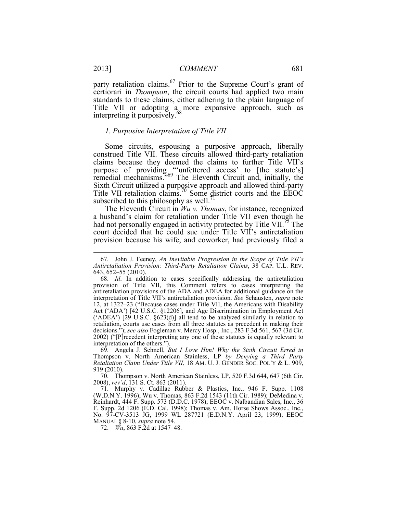party retaliation claims.<sup>67</sup> Prior to the Supreme Court's grant of certiorari in *Thompson*, the circuit courts had applied two main standards to these claims, either adhering to the plain language of Title VII or adopting a more expansive approach, such as interpreting it purposively.<sup>68</sup>

#### *1. Purposive Interpretation of Title VII*

 construed Title VII. These circuits allowed third-party retaliation Some circuits, espousing a purposive approach, liberally claims because they deemed the claims to further Title VII's purpose of providing "unfettered access' to [the statute's] remedial mechanisms."69 The Eleventh Circuit and, initially, the Sixth Circuit utilized a purposive approach and allowed third-party Title VII retaliation claims.<sup>70</sup> Some district courts and the EEOC subscribed to this philosophy as well.<sup>71</sup>

 provision because his wife, and coworker, had previously filed a The Eleventh Circuit in *Wu v. Thomas*, for instance, recognized a husband's claim for retaliation under Title VII even though he had not personally engaged in activity protected by Title VII.<sup>72</sup> The court decided that he could sue under Title VII's antiretaliation

 *Retaliation Claim Under Title VII*, 18 AM. U. J. GENDER SOC. POL'Y & L. 909, 69. Angela J. Schnell, *But I Love Him! Why the Sixth Circuit Erred in*  Thompson v. North American Stainless, LP *by Denying a Third Party*  919 (2010).

70. Thompson v. North American Stainless, LP, 520 F.3d 644, 647 (6th Cir. 2008), *rev'd*, 131 S. Ct. 863 (2011).

 F. Supp. 2d 1206 (E.D. Cal. 1998); Thomas v. Am. Horse Shows Assoc., Inc., 71. Murphy v. Cadillac Rubber & Plastics, Inc., 946 F. Supp. 1108 (W.D.N.Y. 1996); Wu v. Thomas, 863 F.2d 1543 (11th Cir. 1989); DeMedina v. Reinhardt, 444 F. Supp. 573 (D.D.C. 1978); EEOC v. Nalbandian Sales, Inc., 36 No. 97-CV-3513 JG, 1999 WL 287721 (E.D.N.Y. April 23, 1999); EEOC MANUAL § 8-10, *supra* note 54.

72. *Wu*, 863 F.2d at 1547–48.

 *Antiretaliation Provision: Third-Party Retaliation Claims*, 38 CAP. U.L. REV. 67. John J. Feeney, *An Inevitable Progression in the Scope of Title VII's* 643, 652–55 (2010).

 Act ('ADA') [42 U.S.C. §12206], and Age Discrimination in Employment Act retaliation, courts use cases from all three statutes as precedent in making their 68. *Id*. In addition to cases specifically addressing the antiretaliation provision of Title VII, this Comment refers to cases interpreting the antiretaliation provisions of the ADA and ADEA for additional guidance on the interpretation of Title VII's antiretaliation provision. *See* Schausten, *supra* note 12, at 1322–23 ("Because cases under Title VII, the Americans with Disability ('ADEA') [29 U.S.C. §623(d)] all tend to be analyzed similarly in relation to decisions."); *see also* Fogleman v. Mercy Hosp., Inc., 283 F.3d 561, 567 (3d Cir. 2002) ("[P]recedent interpreting any one of these statutes is equally relevant to interpretation of the others.").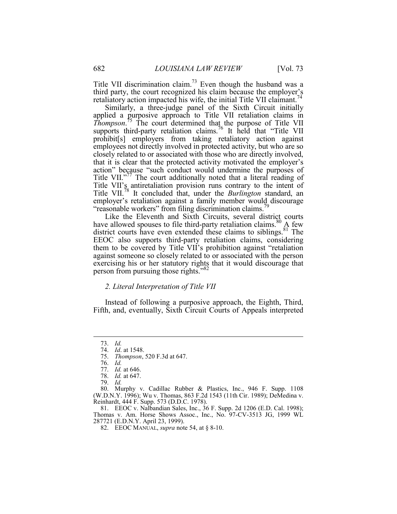Title VII discrimination claim.<sup>73</sup> Even though the husband was a third party, the court recognized his claim because the employer's retaliatory action impacted his wife, the initial Title VII claimant.<sup>74</sup>

 *Thompson*. 75 The court determined that the purpose of Title VII Similarly, a three-judge panel of the Sixth Circuit initially applied a purposive approach to Title VII retaliation claims in supports third-party retaliation claims.<sup>76</sup> It held that "Title VII prohibit[s] employers from taking retaliatory action against employees not directly involved in protected activity, but who are so closely related to or associated with those who are directly involved, that it is clear that the protected activity motivated the employer's action" because "such conduct would undermine the purposes of Title VII."<sup>77</sup> The court additionally noted that a literal reading of Title VII's antiretaliation provision runs contrary to the intent of Title VII.78 It concluded that, under the *Burlington* standard, an employer's retaliation against a family member would discourage "reasonable workers" from filing discrimination claims.

Like the Eleventh and Sixth Circuits, several district courts have allowed spouses to file third-party retaliation claims.<sup>80</sup> A few district courts have even extended these claims to siblings.<sup>81</sup> The EEOC also supports third-party retaliation claims, considering them to be covered by Title VII's prohibition against "retaliation against someone so closely related to or associated with the person exercising his or her statutory rights that it would discourage that person from pursuing those rights."82

#### *2. Literal Interpretation of Title VII*

Instead of following a purposive approach, the Eighth, Third, Fifth, and, eventually, Sixth Circuit Courts of Appeals interpreted

1

81. EEOC v. Nalbandian Sales, Inc., 36 F. Supp. 2d 1206 (E.D. Cal. 1998); Thomas v. Am. Horse Shows Assoc., Inc., No. 97-CV-3513 JG, 1999 WL 287721 (E.D.N.Y. April 23, 1999).

 <sup>73.</sup> *Id.*

 <sup>74.</sup> *Id*. at 1548.

 <sup>75.</sup> *Thompson*, 520 F.3d at 647.

 <sup>76.</sup> *Id.*

 <sup>77.</sup> *Id.* at 646.

 <sup>78.</sup> *Id.* at 647.

 <sup>79.</sup> *Id.* 

<sup>80.</sup> Murphy v. Cadillac Rubber & Plastics, Inc., 946 F. Supp. 1108 (W.D.N.Y. 1996); Wu v. Thomas, 863 F.2d 1543 (11th Cir. 1989); DeMedina v. Reinhardt, 444 F. Supp. 573 (D.D.C. 1978).

 <sup>82.</sup> EEOC MANUAL, *supra* note 54, at § 8-10.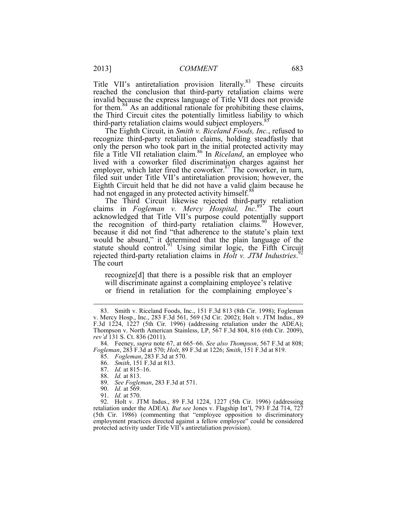Title VII's antiretaliation provision literally.<sup>83</sup> These circuits reached the conclusion that third-party retaliation claims were invalid because the express language of Title VII does not provide for them. $84$  As an additional rationale for prohibiting these claims, the Third Circuit cites the potentially limitless liability to which third-party retaliation claims would subject employers.<sup>8</sup>

The Eighth Circuit, in *Smith v. Riceland Foods, Inc.*, refused to recognize third-party retaliation claims, holding steadfastly that only the person who took part in the initial protected activity may file a Title VII retaliation claim.86 In *Riceland*, an employee who lived with a coworker filed discrimination charges against her employer, which later fired the coworker.<sup>87</sup> The coworker, in turn, filed suit under Title VII's antiretaliation provision; however, the Eighth Circuit held that he did not have a valid claim because he had not engaged in any protected activity himself.<sup>88</sup>

The Third Circuit likewise rejected third-party retaliation claims in *Fogleman v. Mercy Hospital, Inc*. 89 The court acknowledged that Title VII's purpose could potentially support the recognition of third-party retaliation claims.<sup>90</sup> However, because it did not find "that adherence to the statute's plain text would be absurd," it determined that the plain language of the statute should control.<sup>91</sup> Using similar logic, the Fifth Circuit rejected third-party retaliation claims in *Holt v. JTM Industries*. 92 The court

recognize[d] that there is a possible risk that an employer will discriminate against a complaining employee's relative or friend in retaliation for the complaining employee's

- 86. *Smith*, 151 F.3d at 813.
- 87. *Id.* at 815–16.
	- 88. *Id.* at 813.

1

- 89. *See Fogleman*, 283 F.3d at 571.
- 90. *Id.* at 569.
- 91. *Id.* at 570.

92. Holt v. JTM Indus., 89 F.3d 1224, 1227 (5th Cir. 1996) (addressing retaliation under the ADEA)*. But see* Jones v. Flagship Int'l, 793 F.2d 714, 727 (5th Cir. 1986) (commenting that "employee opposition to discriminatory employment practices directed against a fellow employee" could be considered protected activity under Title VII's antiretaliation provision).

 F.3d 1224, 1227 (5th Cir. 1996) (addressing retaliation under the ADEA); 83. Smith v. Riceland Foods, Inc., 151 F.3d 813 (8th Cir. 1998); Fogleman v. Mercy Hosp., Inc., 283 F.3d 561, 569 (3d Cir. 2002); Holt v. JTM Indus., 89 Thompson v. North American Stainless, LP, 567 F.3d 804, 816 (6th Cir. 2009), *rev'd* 131 S. Ct. 836 (2011).

 *Fogleman*, 283 F.3d at 570; *Holt*, 89 F.3d at 1226; *Smith*, 151 F.3d at 819. 84. Feeney, *supra* note 67, at 665–66. *See also Thompson*, 567 F.3d at 808;

 <sup>85.</sup> *Fogleman*, 283 F.3d at 570.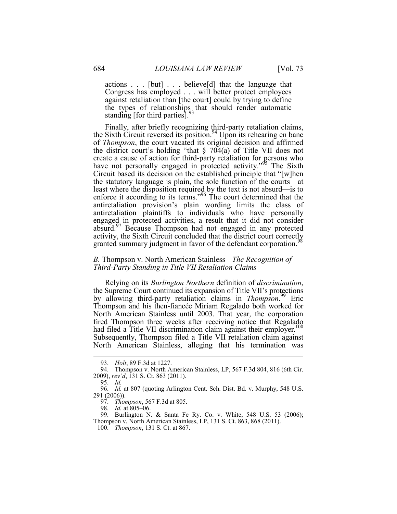Congress has employed . . . will better protect employees actions . . . [but] . . . believe[d] that the language that against retaliation than [the court] could by trying to define the types of relationships that should render automatic standing [for third parties]. $\frac{9}{2}$ 

Finally, after briefly recognizing third-party retaliation claims, the Sixth Circuit reversed its position.<sup>94</sup> Upon its rehearing en banc of *Thompson*, the court vacated its original decision and affirmed the district court's holding "that  $\S$  704(a) of Title VII does not create a cause of action for third-party retaliation for persons who have not personally engaged in protected activity."<sup>95</sup> The Sixth Circuit based its decision on the established principle that "[w]hen the statutory language is plain, the sole function of the courts—at least where the disposition required by the text is not absurd—is to enforce it according to its terms."<sup>96</sup> The court determined that the antiretaliation provision's plain wording limits the class of antiretaliation plaintiffs to individuals who have personally engaged in protected activities, a result that it did not consider absurd.97 Because Thompson had not engaged in any protected activity, the Sixth Circuit concluded that the district court correctly granted summary judgment in favor of the defendant corporation.<sup>9</sup>

#### *B.* Thompson v. North American Stainless*—The Recognition of Third-Party Standing in Title VII Retaliation Claims*

Relying on its *Burlington Northern* definition of *discrimination*, the Supreme Court continued its expansion of Title VII's protections by allowing third-party retaliation claims in *Thompson*. 99 Eric Thompson and his then-fiancée Miriam Regalado both worked for North American Stainless until 2003. That year, the corporation fired Thompson three weeks after receiving notice that Regalado had filed a Title VII discrimination claim against their employer.<sup>100</sup> Subsequently, Thompson filed a Title VII retaliation claim against North American Stainless, alleging that his termination was

 <sup>93.</sup> *Holt*, 89 F.3d at 1227.

<sup>94.</sup> Thompson v. North American Stainless, LP, 567 F.3d 804, 816 (6th Cir. 2009), *rev'd*, 131 S. Ct. 863 (2011).

 <sup>95.</sup> *Id.*

 291 (2006)). 96. *Id.* at 807 (quoting Arlington Cent. Sch. Dist. Bd. v. Murphy, 548 U.S.

 <sup>97.</sup> *Thompson*, 567 F.3d at 805.

 <sup>98.</sup> *Id.* at 805–06.

<sup>99.</sup> Burlington N. & Santa Fe Ry. Co. v. White, 548 U.S. 53 (2006); Thompson v. North American Stainless, LP, 131 S. Ct. 863, 868 (2011).

 <sup>100.</sup> *Thompson*, 131 S. Ct. at 867.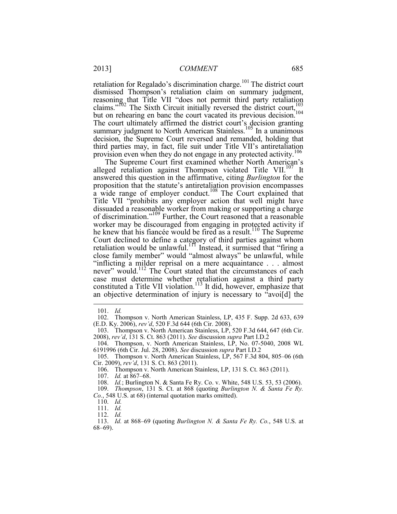provision even when they do not engage in any protected activity.<sup>106</sup> retaliation for Regalado's discrimination charge.<sup>101</sup> The district court dismissed Thompson's retaliation claim on summary judgment, reasoning that Title VII "does not permit third party retaliation claims."<sup>102</sup> The Sixth Circuit initially reversed the district court, $\frac{103}{103}$ but on rehearing en banc the court vacated its previous decision.<sup>104</sup> The court ultimately affirmed the district court's decision granting summary judgment to North American Stainless.<sup>105</sup> In a unanimous decision, the Supreme Court reversed and remanded, holding that third parties may, in fact, file suit under Title VII's antiretaliation

 answered this question in the affirmative, citing *Burlington* for the Title VII "prohibits any employer action that well might have "inflicting a milder reprisal on a mere acquaintance . . . almost The Supreme Court first examined whether North American's alleged retaliation against Thompson violated Title VII. $107$  It proposition that the statute's antiretaliation provision encompasses  $\alpha$  wide range of employer conduct.<sup>108</sup> The Court explained that dissuaded a reasonable worker from making or supporting a charge of discrimination."109 Further, the Court reasoned that a reasonable worker may be discouraged from engaging in protected activity if he knew that his fiancée would be fired as a result.<sup>110</sup> The Supreme Court declined to define a category of third parties against whom retaliation would be unlawful.<sup>111</sup> Instead, it surmised that "firing a close family member" would "almost always" be unlawful, while never" would.<sup>112</sup> The Court stated that the circumstances of each case must determine whether retaliation against a third party constituted a Title VII violation.<sup>113</sup> It did, however, emphasize that an objective determination of injury is necessary to "avoi[d] the

 $\overline{a}$ 

107. *Id.* at 867–68.

 <sup>101.</sup> *Id.* 

<sup>102.</sup> Thompson v. North American Stainless, LP, 435 F. Supp. 2d 633, 639 (E.D. Ky. 2006), *rev'd*, 520 F.3d 644 (6th Cir. 2008).

<sup>103.</sup> Thompson v. North American Stainless, LP, 520 F.3d 644, 647 (6th Cir. 2008), *rev'd*, 131 S. Ct. 863 (2011). *See* discussion *supra* Part I.D.2

 104. Thompson, v. North American Stainless, LP, No. 07-5040, 2008 WL 6191996 (6th Cir. Jul. 28, 2008). *See* discussion *supra* Part I.D.2

<sup>105.</sup> Thompson v. North American Stainless, LP, 567 F.3d 804, 805–06 (6th Cir. 2009), *rev'd*, 131 S. Ct. 863 (2011).

<sup>106.</sup> Thompson v. North American Stainless, LP, 131 S. Ct. 863 (2011).

 108. *Id.*; Burlington N. & Santa Fe Ry. Co. v. White, 548 U.S. 53, 53 (2006).

 <sup>109.</sup> *Thompson*, 131 S. Ct. at 868 (quoting *Burlington N. & Santa Fe Ry. Co.*, 548 U.S. at 68) (internal quotation marks omitted).

 <sup>110.</sup> *Id.*

 <sup>111.</sup> *Id.*

 <sup>112.</sup> *Id.*

 <sup>113.</sup> *Id.* at 868–69 (quoting *Burlington N. & Santa Fe Ry. Co.*, 548 U.S. at 68–69).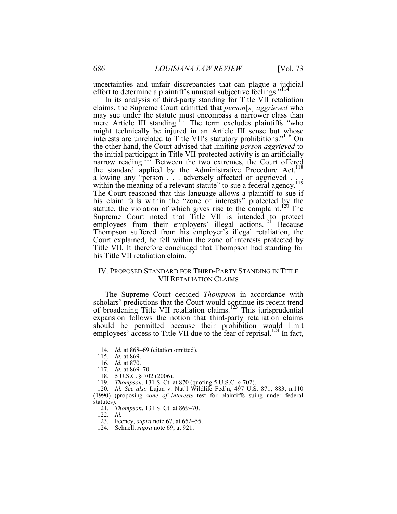uncertainties and unfair discrepancies that can plague a judicial effort to determine a plaintiff's unusual subjective feelings.<sup>5114</sup>

 In its analysis of third-party standing for Title VII retaliation might technically be injured in an Article III sense but whose the initial participant in Title VII-protected activity is an artificially The Court reasoned that this language allows a plaintiff to sue if Title VII. It therefore concluded that Thompson had standing for claims, the Supreme Court admitted that *person*[*s*] *aggrieved* who may sue under the statute must encompass a narrower class than mere Article III standing.<sup>115</sup> The term excludes plaintiffs "who interests are unrelated to Title VII's statutory prohibitions."116 On the other hand, the Court advised that limiting *person aggrieved* to narrow reading.<sup>117</sup> Between the two extremes, the Court offered the standard applied by the Administrative Procedure Act,<sup>118</sup> allowing any "person . . . adversely affected or aggrieved . within the meaning of a relevant statute" to sue a federal agency.<sup>119</sup> his claim falls within the "zone of interests" protected by the statute, the violation of which gives rise to the complaint.<sup>120</sup> The Supreme Court noted that Title VII is intended to protect employees from their employers' illegal actions.<sup>121</sup> Because Thompson suffered from his employer's illegal retaliation, the Court explained, he fell within the zone of interests protected by his Title VII retaliation claim.<sup>122</sup>

#### IV. PROPOSED STANDARD FOR THIRD-PARTY STANDING IN TITLE VII RETALIATION CLAIMS

employees' access to Title VII due to the fear of reprisal.<sup>124</sup> In fact, The Supreme Court decided *Thompson* in accordance with scholars' predictions that the Court would continue its recent trend of broadening Title VII retaliation claims.<sup>123</sup> This jurisprudential expansion follows the notion that third-party retaliation claims should be permitted because their prohibition would limit

1

122. *Id.*

 <sup>114.</sup> *Id.* at 868–69 (citation omitted).

 <sup>115.</sup> *Id.* at 869.

 <sup>116.</sup> *Id.* at 870.

 <sup>117.</sup> *Id.* at 869–70.

<sup>118. 5</sup> U.S.C. § 702 (2006).

 <sup>119.</sup> *Thompson*, 131 S. Ct. at 870 (quoting 5 U.S.C. § 702).

 120. *Id. See also* Lujan v. Nat'l Wildlife Fed'n, 497 U.S. 871, 883, n.110 (1990) (proposing *zone of interests* test for plaintiffs suing under federal statutes).

 <sup>121.</sup> *Thompson*, 131 S. Ct. at 869–70.

Feeney, *supra* note 67, at 652–55.

 <sup>124.</sup> Schnell, *supra* note 69, at 921.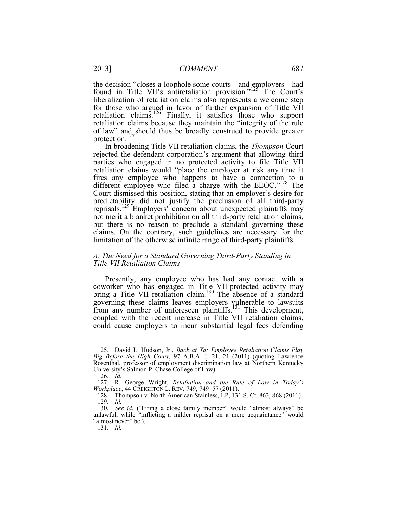the decision "closes a loophole some courts—and employers—had found in Title VII's antiretaliation provision."<sup>125</sup> The Court's liberalization of retaliation claims also represents a welcome step for those who argued in favor of further expansion of Title VII retaliation claims.<sup>126</sup> Finally, it satisfies those who support retaliation claims because they maintain the "integrity of the rule of law" and should thus be broadly construed to provide greater protection.<sup>127</sup>

In broadening Title VII retaliation claims, the *Thompson* Court rejected the defendant corporation's argument that allowing third parties who engaged in no protected activity to file Title VII retaliation claims would "place the employer at risk any time it fires any employee who happens to have a connection to a different employee who filed a charge with the EEOC."<sup>128</sup> The Court dismissed this position, stating that an employer's desire for predictability did not justify the preclusion of all third-party reprisals.<sup>129</sup> Employers' concern about unexpected plaintiffs may not merit a blanket prohibition on all third-party retaliation claims, but there is no reason to preclude a standard governing these claims. On the contrary, such guidelines are necessary for the limitation of the otherwise infinite range of third-party plaintiffs.

#### *A. The Need for a Standard Governing Third-Party Standing in Title VII Retaliation Claims*

Presently, any employee who has had any contact with a coworker who has engaged in Title VII-protected activity may bring a Title VII retaliation claim.<sup>130</sup> The absence of a standard governing these claims leaves employers vulnerable to lawsuits from any number of unforeseen plaintiffs.131 This development, coupled with the recent increase in Title VII retaliation claims, could cause employers to incur substantial legal fees defending

 *Big Before the High Court*, 97 A.B.A. J. 21, 21 (2011) (quoting Lawrence 125. David L. Hudson, Jr., *Back at Ya: Employee Retaliation Claims Play*  Rosenthal, professor of employment discrimination law at Northern Kentucky University's Salmon P. Chase College of Law).

 <sup>126.</sup> *Id.* 

<sup>127.</sup> R. George Wright, *Retaliation and the Rule of Law in Today's Workplace*, 44 CREIGHTON L. REV. 749, 749–57 (2011).

<sup>128.</sup> Thompson v. North American Stainless, LP, 131 S. Ct. 863, 868 (2011). 129. *Id.*

 <sup>130.</sup> *See id.* ("Firing a close family member" would "almost always" be unlawful, while "inflicting a milder reprisal on a mere acquaintance" would "almost never" be.).

 <sup>131.</sup> *Id.*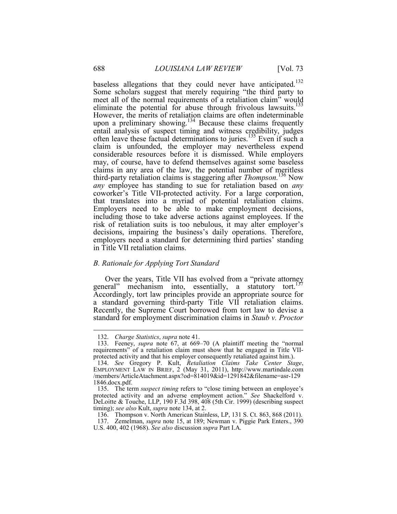coworker's Title VII-protected activity. For a large corporation, including those to take adverse actions against employees. If the baseless allegations that they could never have anticipated.<sup>132</sup> Some scholars suggest that merely requiring "the third party to meet all of the normal requirements of a retaliation claim" would eliminate the potential for abuse through frivolous lawsuits. $133$ However, the merits of retaliation claims are often indeterminable upon a preliminary showing.<sup>134</sup> Because these claims frequently entail analysis of suspect timing and witness credibility, judges often leave these factual determinations to juries.<sup>135</sup> Even if such a claim is unfounded, the employer may nevertheless expend considerable resources before it is dismissed. While employers may, of course, have to defend themselves against some baseless claims in any area of the law, the potential number of meritless third-party retaliation claims is staggering after *Thompson.*136 Now *any* employee has standing to sue for retaliation based on *any*  that translates into a myriad of potential retaliation claims. Employers need to be able to make employment decisions, risk of retaliation suits is too nebulous, it may alter employer's decisions, impairing the business's daily operations. Therefore, employers need a standard for determining third parties' standing in Title VII retaliation claims.

#### *B. Rationale for Applying Tort Standard*

 standard for employment discrimination claims in *Staub v. Proctor* Over the years, Title VII has evolved from a "private attorney general" mechanism into, essentially, a statutory tort.<sup>157</sup> Accordingly, tort law principles provide an appropriate source for a standard governing third-party Title VII retaliation claims. Recently, the Supreme Court borrowed from tort law to devise a

<u>.</u>

 <sup>132.</sup> *Charge Statistics*, *supra* note 41.

 <sup>133.</sup> Feeney, *supra* note 67, at 669–70 (A plaintiff meeting the "normal requirements" of a retaliation claim must show that he engaged in Title VIIprotected activity and that his employer consequently retaliated against him.).

 <sup>134.</sup> *See* Gregory P. Kult, *Retaliation Claims Take Center Stage*, EMPLOYMENT LAW IN BRIEF, 2 (May 31, 2011), http://www.martindale.com /members/ArticleAtachment.aspx?od=814019&id=1291842&filename=asr-129 1846.docx.pdf.

 <sup>135.</sup> The term *suspect timing* refers to "close timing between an employee's protected activity and an adverse employment action." *See* Shackelford v. DeLoitte & Touche, LLP, 190 F.3d 398, 408 (5th Cir. 1999) (describing suspect timing); *see also* Kult, *supra* note 134, at 2.

<sup>136.</sup> Thompson v. North American Stainless, LP, 131 S. Ct. 863, 868 (2011). 137. Zemelman, *supra* note 15, at 189; Newman v. Piggie Park Enters., 390 U.S. 400, 402 (1968). *See also* discussion *supra* Part I.A.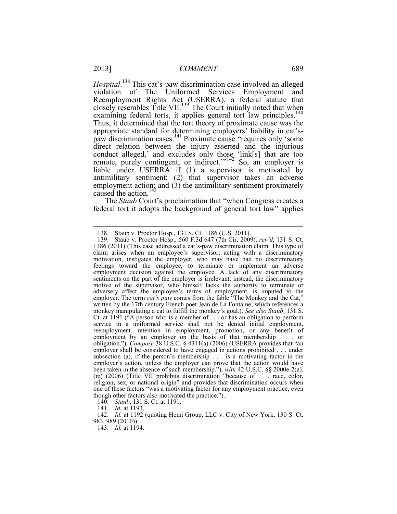direct relation between the injury asserted and the injurious *Hospital*. 138 This cat's-paw discrimination case involved an alleged violation of The Uniformed Services Employment and Reemployment Rights Act (USERRA), a federal statute that closely resembles Title VII.<sup>139</sup> The Court initially noted that when examining federal torts, it applies general tort law principles.<sup>140</sup> Thus, it determined that the tort theory of proximate cause was the appropriate standard for determining employers' liability in cat'spaw discrimination cases.<sup>141</sup> Proximate cause "requires only 'some conduct alleged,' and excludes only those 'link[s] that are too remote, purely contingent, or indirect."<sup>142</sup> So, an employer is liable under USERRA if (1) a supervisor is motivated by antimilitary sentiment; (2) that supervisor takes an adverse employment action; and (3) the antimilitary sentiment proximately caused the action.<sup>14</sup>

 federal tort it adopts the background of general tort law" applies The *Staub* Court's proclaimation that "when Congress creates a

140. *Staub*, 131 S. Ct. at 1191.

 142. *Id.* at 1192 (quoting Hemi Group, LLC v. City of New York, 130 S. Ct. 983, 989 (2010)).

<sup>138.</sup> Staub v. Proctor Hosp., 131 S. Ct. 1186 (U.S. 2011).

 motivation, instigates the employer, who may have had no discriminatory obligation."). *Compare* 38 U.S.C. § 4311(a) (2006) (USERRA provides that "an subsection (a), if the person's membership . . . is a motivating factor in the religion, sex, or national origin" and provides that discrimination occurs when 139. Staub v. Proctor Hosp., 560 F.3d 647 (7th Cir. 2009), *rev'd*, 131 S. Ct. 1186 (2011) (This case addressed a cat's-paw discrimination claim. This type of claim arises when an employee's supervisor, acting with a discriminatory feelings toward the employee, to terminate or implement an adverse employment decision against the employee. A lack of any discriminatory sentiments on the part of the employer is irrelevant; instead, the discriminatory motive of the supervisor, who himself lacks the authority to terminate or adversely affect the employee's terms of employment, is imputed to the employer. The term *cat's paw* comes from the fable "The Monkey and the Cat," written by the 17th century French poet Jean de La Fontaine, which references a monkey manipulating a cat to fulfill the monkey's goal.). *See also Staub*, 131 S. Ct. at 1191 ("A person who is a member of . . . or has an obligation to perform service in a uniformed service shall not be denied initial employment, reemployment, retention in employment, promotion, or any benefit of employment by an employer on the basis of that membership . . . or employer shall be considered to have engaged in actions prohibited . . . under employer's action, unless the employer can prove that the action would have been taken in the absence of such membership."), *with* 42 U.S.C. §§ 2000e-2(a), (m) (2006) (Title VII prohibits discrimination "because of . . . race, color, one of these factors "was a motivating factor for any employment practice, even though other factors also motivated the practice.").

 <sup>141.</sup> *Id.* at 1193.

 <sup>143.</sup> *Id.* at 1194.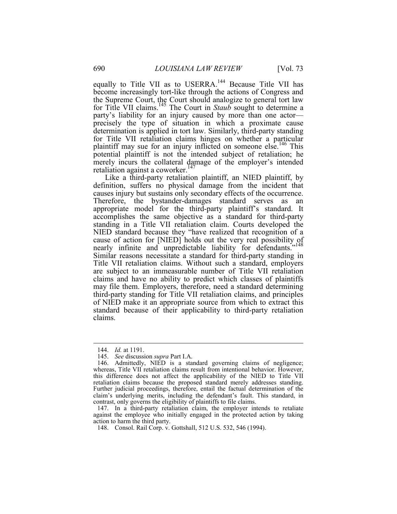equally to Title VII as to USERRA.<sup>144</sup> Because Title VII has become increasingly tort-like through the actions of Congress and the Supreme Court, the Court should analogize to general tort law for Title VII claims.145 The Court in *Staub* sought to determine a party's liability for an injury caused by more than one actor precisely the type of situation in which a proximate cause determination is applied in tort law. Similarly, third-party standing for Title VII retaliation claims hinges on whether a particular plaintiff may sue for an injury inflicted on someone else.<sup>146</sup> This potential plaintiff is not the intended subject of retaliation; he merely incurs the collateral damage of the employer's intended retaliation against a coworker.<sup>147</sup>

Like a third-party retaliation plaintiff, an NIED plaintiff, by definition, suffers no physical damage from the incident that causes injury but sustains only secondary effects of the occurrence. Therefore, the bystander-damages standard serves as an appropriate model for the third-party plaintiff's standard. It accomplishes the same objective as a standard for third-party standing in a Title VII retaliation claim. Courts developed the NIED standard because they "have realized that recognition of a cause of action for [NIED] holds out the very real possibility of nearly infinite and unpredictable liability for defendants."<sup>148</sup> Similar reasons necessitate a standard for third-party standing in Title VII retaliation claims. Without such a standard, employers are subject to an immeasurable number of Title VII retaliation claims and have no ability to predict which classes of plaintiffs may file them. Employers, therefore, need a standard determining third-party standing for Title VII retaliation claims, and principles of NIED make it an appropriate source from which to extract this standard because of their applicability to third-party retaliation claims.

 <sup>144.</sup> *Id.* at 1191.

 <sup>145.</sup> *See* discussion *supra* Part I.A.

 claim's underlying merits, including the defendant's fault. This standard, in 146. Admittedly, NIED is a standard governing claims of negligence; whereas, Title VII retaliation claims result from intentional behavior. However, this difference does not affect the applicability of the NIED to Title VII retaliation claims because the proposed standard merely addresses standing. Further judicial proceedings, therefore, entail the factual determination of the contrast, only governs the eligibility of plaintiffs to file claims.

<sup>147.</sup> In a third-party retaliation claim, the employer intends to retaliate against the employee who initially engaged in the protected action by taking action to harm the third party.

<sup>148.</sup> Consol. Rail Corp. v. Gottshall, 512 U.S. 532, 546 (1994).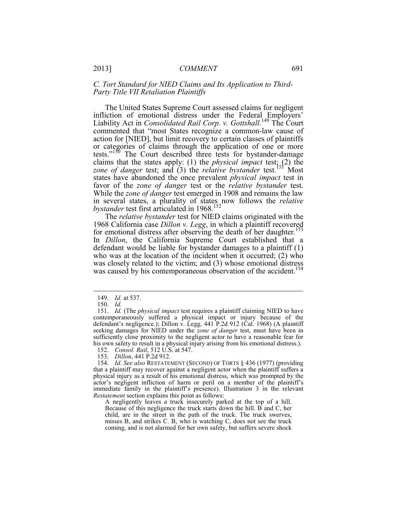#### *C. Tort Standard for NIED Claims and Its Application to Third-Party Title VII Retaliation Plaintiffs*

The United States Supreme Court assessed claims for negligent infliction of emotional distress under the Federal Employers' Liability Act in *Consolidated Rail Corp. v. Gottshall.*149 The Court commented that "most States recognize a common-law cause of action for [NIED], but limit recovery to certain classes of plaintiffs or categories of claims through the application of one or more tests."150 The Court described three tests for bystander-damage claims that the states apply: (1) the *physical impact* test; (2) the *zone of danger* test; and (3) the *relative bystander* test.<sup>151</sup> Most states have abandoned the once prevalent *physical impact* test in favor of the *zone of danger* test or the *relative bystander* test. While the *zone of danger* test emerged in 1908 and remains the law in several states, a plurality of states now follows the *relative bystander* test first articulated in 1968*.*  152

The *relative bystander* test for NIED claims originated with the 1968 California case *Dillon v. Legg*, in which a plaintiff recovered for emotional distress after observing the death of her daughter.<sup>153</sup> In *Dillon*, the California Supreme Court established that a defendant would be liable for bystander damages to a plaintiff (1) who was at the location of the incident when it occurred; (2) who was closely related to the victim; and (3) whose emotional distress was caused by his contemporaneous observation of the accident.<sup>154</sup>

<u>.</u>

 <sup>149.</sup> *Id.* at 537.

 <sup>150.</sup> *Id.*

 seeking damages for NIED under the *zone of danger* test, must have been in 151. *Id.* (The *physical impact* test requires a plaintiff claiming NIED to have contemporaneously suffered a physical impact or injury because of the defendant's negligence.); Dillon v. Legg, 441 P.2d 912 (Cal. 1968) (A plaintiff sufficiently close proximity to the negligent actor to have a reasonable fear for his own safety to result in a physical injury arising from his emotional distress.).

 <sup>152.</sup> *Consol. Rail*, 512 U.S. at 547.

 <sup>153.</sup> *Dillon*, 441 P.2d 912.

 that a plaintiff may recover against a negligent actor when the plaintiff suffers a physical injury as a result of his emotional distress, which was prompted by the 154. *Id. See also* RESTATEMENT (SECOND) OF TORTS § 436 (1977) (providing actor's negligent infliction of harm or peril on a member of the plaintiff's immediate family in the plaintiff's presence). Illustration 3 in the relevant *Restatement* section explains this point as follows:

 child, are in the street in the path of the truck. The truck swerves, misses B, and strikes C. B, who is watching C, does not see the truck A negligently leaves a truck insecurely parked at the top of a hill. Because of this negligence the truck starts down the hill. B and C, her coming, and is not alarmed for her own safety, but suffers severe shock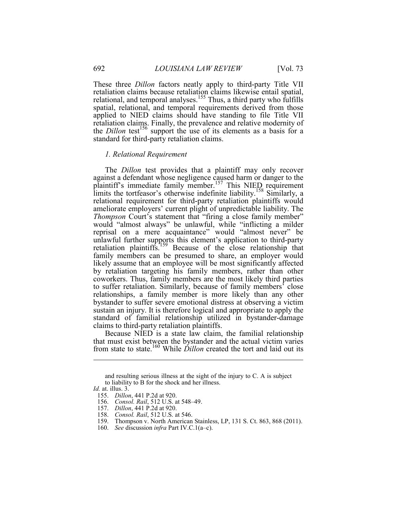These three *Dillon* factors neatly apply to third-party Title VII retaliation claims because retaliation claims likewise entail spatial, relational, and temporal analyses.<sup>155</sup> Thus, a third party who fulfills spatial, relational, and temporal requirements derived from those applied to NIED claims should have standing to file Title VII retaliation claims. Finally, the prevalence and relative modernity of the *Dillon* test<sup>156</sup> support the use of its elements as a basis for a standard for third-party retaliation claims.

#### *1. Relational Requirement*

 would "almost always" be unlawful, while "inflicting a milder likely assume that an employee will be most significantly affected The *Dillon* test provides that a plaintiff may only recover against a defendant whose negligence caused harm or danger to the plaintiff's immediate family member.<sup>157</sup> This NIED requirement limits the tortfeasor's otherwise indefinite liability.<sup>158</sup> Similarly, a relational requirement for third-party retaliation plaintiffs would ameliorate employers' current plight of unpredictable liability. The *Thompson* Court's statement that "firing a close family member" reprisal on a mere acquaintance" would "almost never" be unlawful further supports this element's application to third-party retaliation plaintiffs.<sup>1</sup>159 Because of the close relationship that family members can be presumed to share, an employer would by retaliation targeting his family members, rather than other coworkers. Thus, family members are the most likely third parties to suffer retaliation. Similarly, because of family members' close relationships, a family member is more likely than any other bystander to suffer severe emotional distress at observing a victim sustain an injury. It is therefore logical and appropriate to apply the standard of familial relationship utilized in bystander-damage claims to third-party retaliation plaintiffs.

Because NIED is a state law claim, the familial relationship that must exist between the bystander and the actual victim varies from state to state.160 While *Dillon* created the tort and laid out its

and resulting serious illness at the sight of the injury to C. A is subject to liability to B for the shock and her illness.

*Id.* at. illus. 3.

 <sup>155.</sup> *Dillon*, 441 P.2d at 920.

 <sup>156.</sup> *Consol. Rail*, 512 U.S. at 548–49.

 <sup>157.</sup> *Dillon*, 441 P.2d at 920.

 <sup>158.</sup> *Consol. Rail*, 512 U.S. at 546. Thompson v. North American Stainless, LP, 131 S. Ct. 863, 868 (2011).

 <sup>160.</sup> *See* discussion *infra* Part IV.C.1(a–c).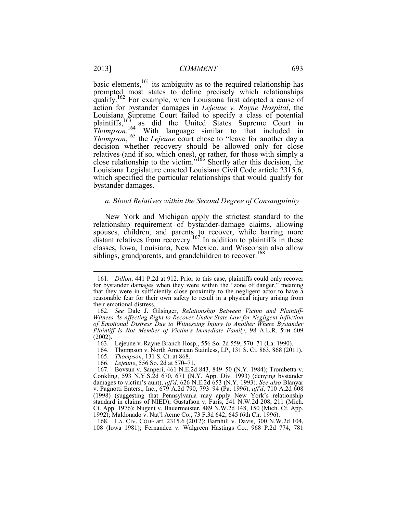relatives (and if so, which ones), or rather, for those with simply a basic elements,  $161$  its ambiguity as to the required relationship has prompted most states to define precisely which relationships qualify.<sup>162</sup> For example, when Louisiana first adopted a cause of action for bystander damages in *Lejeune v. Rayne Hospital*, the Louisiana Supreme Court failed to specify a class of potential plaintiffs, $\frac{163}{163}$  as did the United States Supreme Court in *Thompson*<sup>164</sup> With language similar to that included in *Thompson*, 165 the *Lejeune* court chose to "leave for another day a decision whether recovery should be allowed only for close close relationship to the victim."166 Shortly after this decision, the Louisiana Legislature enacted Louisiana Civil Code article 2315.6, which specified the particular relationships that would qualify for bystander damages.

#### *a. Blood Relatives within the Second Degree of Consanguinity*

New York and Michigan apply the strictest standard to the relationship requirement of bystander-damage claims, allowing spouses, children, and parents to recover, while barring more distant relatives from recovery.<sup>167</sup> In addition to plaintiffs in these classes, Iowa, Louisiana, New Mexico, and Wisconsin also allow siblings, grandparents, and grandchildren to recover.<sup>168</sup>

 168. LA. CIV. CODE art. 2315.6 (2012); Barnhill v. Davis, 300 N.W.2d 104, 108 (Iowa 1981); Fernandez v. Walgreen Hastings Co., 968 P.2d 774, 781

<u>.</u>

 for bystander damages when they were within the "zone of danger," meaning reasonable fear for their own safety to result in a physical injury arising from 161. *Dillon*, 441 P.2d at 912. Prior to this case, plaintiffs could only recover that they were in sufficiently close proximity to the negligent actor to have a their emotional distress.

 <sup>162.</sup> *See* Dale J. Gilsinger, *Relationship Between Victim and Plaintiff-Witness As Affecting Right to Recover Under State Law for Negligent Infliction of Emotional Distress Due to Witnessing Injury to Another Where Bystander Plaintiff Is Not Member of Victim's Immediate Family*, 98 A.L.R. 5TH 609 (2002).

<sup>163.</sup> Lejeune v. Rayne Branch Hosp., 556 So. 2d 559, 570–71 (La. 1990).

<sup>164.</sup> Thompson v. North American Stainless, LP, 131 S. Ct. 863, 868 (2011).

 <sup>165.</sup> *Thompson*, 131 S. Ct. at 868.

 <sup>166.</sup> *Lejeune*, 556 So. 2d at 570–71.

<sup>167.</sup> Bovsun v. Sanperi, 461 N.E.2d 843, 849–50 (N.Y. 1984); Trombetta v. Conkling, 593 N.Y.S.2d 670, 671 (N.Y. App. Div. 1993) (denying bystander damages to victim's aunt), *aff'd*, 626 N.E.2d 653 (N.Y. 1993). *See also* Blanyar v. Pagnotti Enters., Inc., 679 A.2d 790, 793–94 (Pa. 1996), *aff'd*, 710 A.2d 608 (1998) (suggesting that Pennsylvania may apply New York's relationship standard in claims of NIED); Gustafson v. Faris, 241 N.W.2d 208, 211 (Mich. Ct. App. 1976); Nugent v. Bauermeister, 489 N.W.2d 148, 150 (Mich. Ct. App. 1992); Maldonado v. Nat'l Acme Co., 73 F.3d 642, 645 (6th Cir. 1996).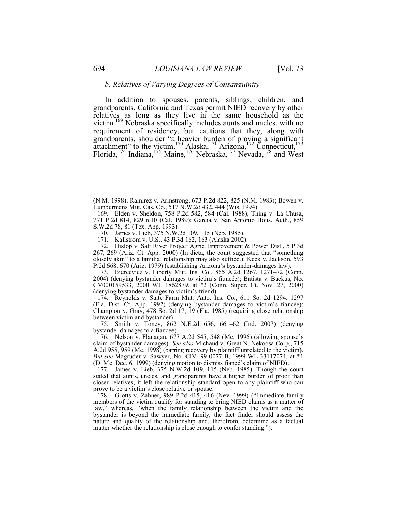#### *b. Relatives of Varying Degrees of Consanguinity*

In addition to spouses, parents, siblings, children, and grandparents, California and Texas permit NIED recovery by other relatives as long as they live in the same household as the victim.169 Nebraska specifically includes aunts and uncles, with no requirement of residency, but cautions that they, along with grandparents, shoulder "a heavier burden of proving a significant attachment" to the victim.<sup>170</sup> Alaska,<sup>171</sup> Arizona,<sup>172</sup> Connecticut,<sup>173</sup> Florida,<sup>174</sup> Indiana,<sup>175</sup> Maine,<sup>176</sup> Nebraska,<sup>177</sup> Nevada,<sup>178</sup> and West

172. Hislop v. Salt River Project Agric. Improvement & Power Dist., 5 P.3d 267, 269 (Ariz. Ct. App. 2000) (In dicta, the court suggested that "something closely akin" to a familial relationship may also suffice.); Keck v. Jackson, 593 P.2d 668, 670 (Ariz. 1979) (establishing Arizona's bystander-damages law).

 173. Biercevicz v. Liberty Mut. Ins. Co., 865 A.2d 1267, 1271–72 (Conn. 2004) (denying bystander damages to victim's fiancée); Batista v. Backus, No. CV000159533, 2000 WL 1862879, at \*2 (Conn. Super. Ct. Nov. 27, 2000) (denying bystander damages to victim's friend).

 174. Reynolds v. State Farm Mut. Auto. Ins. Co., 611 So. 2d 1294, 1297 (Fla. Dist. Ct. App. 1992) (denying bystander damages to victim's fiancée); Champion v. Gray, 478 So. 2d 17, 19 (Fla. 1985) (requiring close relationship between victim and bystander).

175. Smith v. Toney, 862 N.E.2d 656, 661–62 (Ind. 2007) (denying bystander damages to a fiancée).

 176. Nelson v. Flanagan, 677 A.2d 545, 548 (Me. 1996) (allowing spouse's *But see* Magruder v. Sawyer, No. CIV. 99-0077-B, 1999 WL 33117074, at \*1 claim of bystander damages). *See also* Michaud v. Great N. Nekoosa Corp., 715 A.2d 955, 959 (Me. 1998) (barring recovery by plaintiff unrelated to the victim). (D. Me. Dec. 6, 1999) (denying motion to dismiss fiancé's claim of NIED).

 177. James v. Lieb, 375 N.W.2d 109, 115 (Neb. 1985). Though the court stated that aunts, uncles, and grandparents have a higher burden of proof than closer relatives, it left the relationship standard open to any plaintiff who can prove to be a victim's close relative or spouse.

178. Grotts v. Zahner, 989 P.2d 415, 416 (Nev. 1999) ("Immediate family members of the victim qualify for standing to bring NIED claims as a matter of law," whereas, "when the family relationship between the victim and the bystander is beyond the immediate family, the fact finder should assess the nature and quality of the relationship and, therefrom, determine as a factual matter whether the relationship is close enough to confer standing.").

 (N.M. 1998); Ramirez v. Armstrong, 673 P.2d 822, 825 (N.M. 1983); Bowen v. Lumbermens Mut. Cas. Co., 517 N.W.2d 432, 444 (Wis. 1994).

 169. Elden v. Sheldon, 758 P.2d 582, 584 (Cal. 1988); Thing v. La Chusa, 771 P.2d 814, 829 n.10 (Cal. 1989); Garcia v. San Antonio Hous. Auth., 859 S.W.2d 78, 81 (Tex. App. 1993).

<sup>170.</sup> James v. Lieb, 375 N.W.2d 109, 115 (Neb. 1985).

<sup>171.</sup> Kallstrom v. U.S., 43 P.3d 162, 163 (Alaska 2002).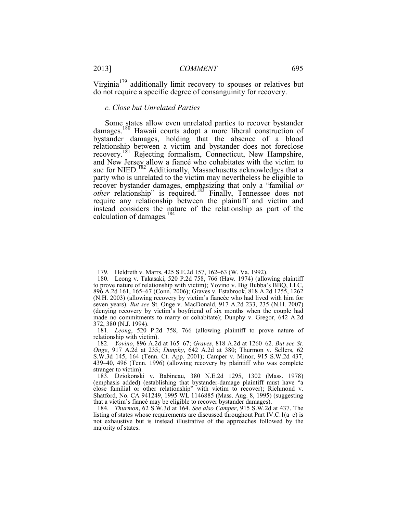$\overline{a}$ 

Virginia<sup>179</sup> additionally limit recovery to spouses or relatives but do not require a specific degree of consanguinity for recovery.

#### *c. Close but Unrelated Parties*

 relationship between a victim and bystander does not foreclose Some states allow even unrelated parties to recover bystander damages.<sup>180</sup> Hawaii courts adopt a more liberal construction of bystander damages, holding that the absence of a blood recovery.<sup>181</sup> Rejecting formalism, Connecticut, New Hampshire, and New Jersey allow a fiancé who cohabitates with the victim to sue for NIED.<sup>182</sup> Additionally, Massachusetts acknowledges that a party who is unrelated to the victim may nevertheless be eligible to recover bystander damages, emphasizing that only a "familial *or other* relationship" is required.<sup>183</sup> Finally, Tennessee does not require any relationship between the plaintiff and victim and instead considers the nature of the relationship as part of the calculation of damages.<sup>184</sup>

<sup>179.</sup> Heldreth v. Marrs, 425 S.E.2d 157, 162–63 (W. Va. 1992).

 to prove nature of relationship with victim); Yovino v. Big Bubba's BBQ, LLC, (N.H. 2003) (allowing recovery by victim's fiancée who had lived with him for (denying recovery by victim's boyfriend of six months when the couple had 372, 380 (N.J. 1994). 180. Leong v. Takasaki, 520 P.2d 758, 766 (Haw. 1974) (allowing plaintiff 896 A.2d 161, 165–67 (Conn. 2006); Graves v. Estabrook, 818 A.2d 1255, 1262 seven years). *But see* St. Onge v. MacDonald, 917 A.2d 233, 235 (N.H. 2007) made no commitments to marry or cohabitate); Dunphy v. Gregor, 642 A.2d

 <sup>181.</sup> *Leong*, 520 P.2d 758, 766 (allowing plaintiff to prove nature of relationship with victim).

 <sup>182.</sup> *Yovino*, 896 A.2d at 165–67; *Graves*, 818 A.2d at 1260–62. *But see St. Onge*, 917 A.2d at 235; *Dunphy*, 642 A.2d at 380; Thurmon v. Sellers, 62 S.W.3d 145, 164 (Tenn. Ct. App. 2001); Camper v. Minor, 915 S.W.2d 437, 439–40, 496 (Tenn. 1996) (allowing recovery by plaintiff who was complete stranger to victim).

 (emphasis added) (establishing that bystander-damage plaintiff must have "a 183. Dziokonski v. Babineau, 380 N.E.2d 1295, 1302 (Mass. 1978) close familial or other relationship" with victim to recover); Richmond v. Shatford, No. CA 941249, 1995 WL 1146885 (Mass. Aug. 8, 1995) (suggesting that a victim's fiancé may be eligible to recover bystander damages).

 <sup>184.</sup> *Thurmon*, 62 S.W.3d at 164. *See also Camper*, 915 S.W.2d at 437. The listing of states whose requirements are discussed throughout Part IV.C.1( $a-c$ ) is not exhaustive but is instead illustrative of the approaches followed by the majority of states.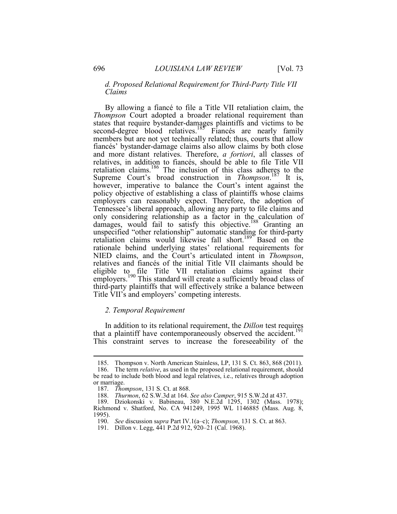#### *d. Proposed Relational Requirement for Third-Party Title VII Claims*

 By allowing a fiancé to file a Title VII retaliation claim, the second-degree blood relatives.<sup>185</sup> Fiancés are nearly family third-party plaintiffs that will effectively strike a balance between *Thompson* Court adopted a broader relational requirement than states that require bystander-damages plaintiffs and victims to be members but are not yet technically related; thus, courts that allow fiancés' bystander-damage claims also allow claims by both close and more distant relatives. Therefore, *a fortiori*, all classes of relatives, in addition to fiancés, should be able to file Title VII retaliation claims.<sup>186</sup> The inclusion of this class adheres to the Supreme Court's broad construction in *Thompson*.<sup>187</sup> It is, however, imperative to balance the Court's intent against the policy objective of establishing a class of plaintiffs whose claims employers can reasonably expect. Therefore, the adoption of Tennessee's liberal approach, allowing any party to file claims and only considering relationship as a factor in the calculation of damages, would fail to satisfy this objective.<sup>188</sup> Granting an unspecified "other relationship" automatic standing for third-party retaliation claims would likewise fall short.<sup>189</sup> Based on the rationale behind underlying states' relational requirements for NIED claims, and the Court's articulated intent in *Thompson*, relatives and fiancés of the initial Title VII claimants should be eligible to file Title VII retaliation claims against their employers.<sup>190</sup> This standard will create a sufficiently broad class of Title VII's and employers' competing interests.

#### *2. Temporal Requirement*

In addition to its relational requirement, the *Dillon* test requires that a plaintiff have contemporaneously observed the accident.<sup>191</sup> This constraint serves to increase the foreseeability of the

<sup>185.</sup> Thompson v. North American Stainless, LP, 131 S. Ct. 863, 868 (2011).

 <sup>186.</sup> The term *relative*, as used in the proposed relational requirement, should be read to include both blood and legal relatives, i.e., relatives through adoption or marriage.

 <sup>187.</sup> *Thompson*, 131 S. Ct. at 868.

 <sup>188.</sup> *Thurmon*, 62 S.W.3d at 164. *See also Camper*, 915 S.W.2d at 437.

 Richmond v. Shatford, No. CA 941249, 1995 WL 1146885 (Mass. Aug. 8, 189. Dziokonski v. Babineau, 380 N.E.2d 1295, 1302 (Mass. 1978); 1995).

 <sup>190.</sup> *See* discussion s*upra* Part IV.1(a–c); *Thompson*, 131 S. Ct. at 863. 190. See discussion supra Part IV.1(a-c); Thompson, 12<br>191. Dillon v. Legg, 441 P.2d 912, 920–21 (Cal. 1968).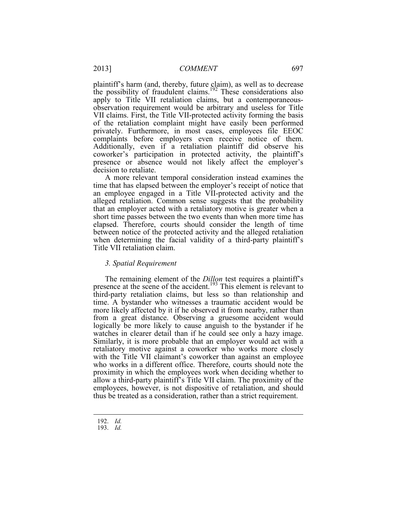plaintiff's harm (and, thereby, future claim), as well as to decrease the possibility of fraudulent claims.<sup>192</sup> These considerations also apply to Title VII retaliation claims, but a contemporaneousobservation requirement would be arbitrary and useless for Title VII claims. First, the Title VII-protected activity forming the basis of the retaliation complaint might have easily been performed privately. Furthermore, in most cases, employees file EEOC complaints before employers even receive notice of them. Additionally, even if a retaliation plaintiff did observe his coworker's participation in protected activity, the plaintiff's presence or absence would not likely affect the employer's decision to retaliate.

A more relevant temporal consideration instead examines the time that has elapsed between the employer's receipt of notice that an employee engaged in a Title VII-protected activity and the alleged retaliation. Common sense suggests that the probability that an employer acted with a retaliatory motive is greater when a short time passes between the two events than when more time has elapsed. Therefore, courts should consider the length of time between notice of the protected activity and the alleged retaliation when determining the facial validity of a third-party plaintiff's Title VII retaliation claim.

#### *3. Spatial Requirement*

The remaining element of the *Dillon* test requires a plaintiff's presence at the scene of the accident.<sup>193</sup> This element is relevant to third-party retaliation claims, but less so than relationship and time. A bystander who witnesses a traumatic accident would be more likely affected by it if he observed it from nearby, rather than from a great distance. Observing a gruesome accident would logically be more likely to cause anguish to the bystander if he watches in clearer detail than if he could see only a hazy image. Similarly, it is more probable that an employer would act with a retaliatory motive against a coworker who works more closely with the Title VII claimant's coworker than against an employee who works in a different office. Therefore, courts should note the proximity in which the employees work when deciding whether to allow a third-party plaintiff's Title VII claim. The proximity of the employees, however, is not dispositive of retaliation, and should thus be treated as a consideration, rather than a strict requirement.

 <sup>192.</sup> *Id.*

 <sup>193.</sup> *Id.*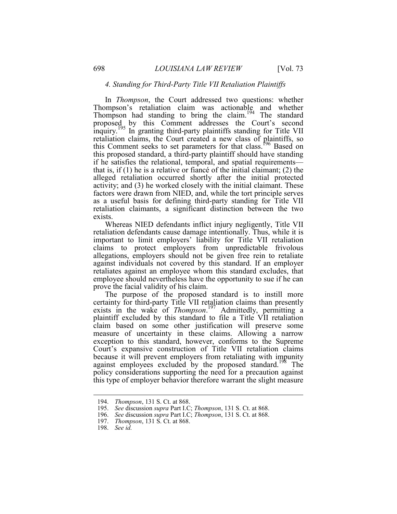#### *4. Standing for Third-Party Title VII Retaliation Plaintiffs*

In *Thompson*, the Court addressed two questions: whether Thompson's retaliation claim was actionable and whether Thompson had standing to bring the claim.<sup>194</sup> The standard proposed by this Comment addresses the Court's second inquiry.<sup>195</sup> In granting third-party plaintiffs standing for Title VII retaliation claims, the Court created a new class of plaintiffs, so this Comment seeks to set parameters for that class.<sup>196</sup> Based on this proposed standard, a third-party plaintiff should have standing if he satisfies the relational, temporal, and spatial requirements that is, if (1) he is a relative or fiancé of the initial claimant; (2) the alleged retaliation occurred shortly after the initial protected activity; and (3) he worked closely with the initial claimant. These factors were drawn from NIED, and, while the tort principle serves as a useful basis for defining third-party standing for Title VII retaliation claimants, a significant distinction between the two exists.

 Whereas NIED defendants inflict injury negligently, Title VII retaliation defendants cause damage intentionally. Thus, while it is important to limit employers' liability for Title VII retaliation claims to protect employers from unpredictable frivolous allegations, employers should not be given free rein to retaliate against individuals not covered by this standard. If an employer retaliates against an employee whom this standard excludes, that employee should nevertheless have the opportunity to sue if he can prove the facial validity of his claim.

 plaintiff excluded by this standard to file a Title VII retaliation The purpose of the proposed standard is to instill more certainty for third-party Title VII retaliation claims than presently exists in the wake of *Thompson*.<sup>197</sup> Admittedly, permitting a claim based on some other justification will preserve some measure of uncertainty in these claims. Allowing a narrow exception to this standard, however, conforms to the Supreme Court's expansive construction of Title VII retaliation claims because it will prevent employers from retaliating with impunity against employees excluded by the proposed standard.<sup>198</sup> The policy considerations supporting the need for a precaution against this type of employer behavior therefore warrant the slight measure

 <sup>194.</sup> *Thompson*, 131 S. Ct. at 868.

 <sup>195.</sup> *See* discussion *supra* Part I.C; *Thompson*, 131 S. Ct. at 868.

 <sup>196.</sup> *See* discussion *supra* Part I.C; *Thompson*, 131 S. Ct. at 868.

*Thompson*, 131 S. Ct. at 868.

 <sup>198.</sup> *See id.*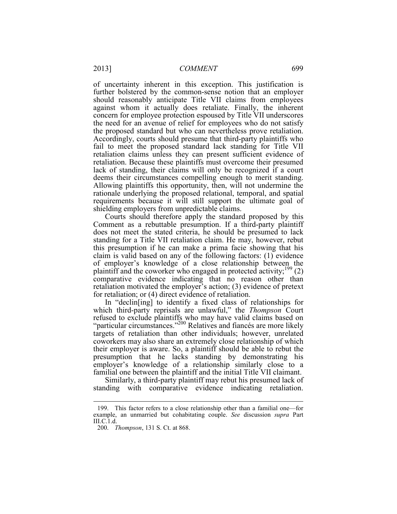lack of standing, their claims will only be recognized if a court of uncertainty inherent in this exception. This justification is further bolstered by the common-sense notion that an employer should reasonably anticipate Title VII claims from employees against whom it actually does retaliate. Finally, the inherent concern for employee protection espoused by Title VII underscores the need for an avenue of relief for employees who do not satisfy the proposed standard but who can nevertheless prove retaliation. Accordingly, courts should presume that third-party plaintiffs who fail to meet the proposed standard lack standing for Title VII retaliation claims unless they can present sufficient evidence of retaliation. Because these plaintiffs must overcome their presumed deems their circumstances compelling enough to merit standing. Allowing plaintiffs this opportunity, then, will not undermine the rationale underlying the proposed relational, temporal, and spatial requirements because it will still support the ultimate goal of shielding employers from unpredictable claims.

 standing for a Title VII retaliation claim. He may, however, rebut Courts should therefore apply the standard proposed by this Comment as a rebuttable presumption. If a third-party plaintiff does not meet the stated criteria, he should be presumed to lack this presumption if he can make a prima facie showing that his claim is valid based on any of the following factors: (1) evidence of employer's knowledge of a close relationship between the plaintiff and the coworker who engaged in protected activity;<sup>199</sup> $(2)$ comparative evidence indicating that no reason other than retaliation motivated the employer's action; (3) evidence of pretext for retaliation; or (4) direct evidence of retaliation.

In "declin[ing] to identify a fixed class of relationships for which third-party reprisals are unlawful," the *Thompson* Court refused to exclude plaintiffs who may have valid claims based on "particular circumstances."<sup>200</sup> Relatives and fiancés are more likely targets of retaliation than other individuals; however, unrelated coworkers may also share an extremely close relationship of which their employer is aware. So, a plaintiff should be able to rebut the presumption that he lacks standing by demonstrating his employer's knowledge of a relationship similarly close to a familial one between the plaintiff and the initial Title VII claimant.

Similarly, a third-party plaintiff may rebut his presumed lack of standing with comparative evidence indicating retaliation.

<sup>199.</sup> This factor refers to a close relationship other than a familial one—for example, an unmarried but cohabitating couple. *See* discussion *supra* Part III.C.1.d.

 <sup>200.</sup> *Thompson*, 131 S. Ct. at 868.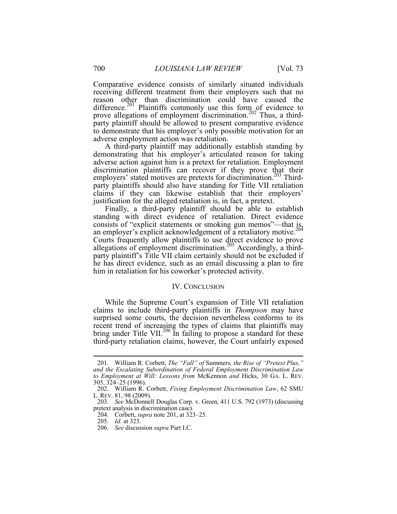difference.<sup>201</sup> Plaintiffs commonly use this form of evidence to Comparative evidence consists of similarly situated individuals receiving different treatment from their employers such that no reason other than discrimination could have caused the prove allegations of employment discrimination.<sup>202</sup> Thus, a thirdparty plaintiff should be allowed to present comparative evidence to demonstrate that his employer's only possible motivation for an adverse employment action was retaliation.

A third-party plaintiff may additionally establish standing by demonstrating that his employer's articulated reason for taking adverse action against him is a pretext for retaliation. Employment discrimination plaintiffs can recover if they prove that their employers' stated motives are pretexts for discrimination.<sup>203</sup> Thirdparty plaintiffs should also have standing for Title VII retaliation claims if they can likewise establish that their employers' justification for the alleged retaliation is, in fact, a pretext.

 consists of "explicit statements or smoking gun memos"—that is, Finally, a third-party plaintiff should be able to establish standing with direct evidence of retaliation. Direct evidence an employer's explicit acknowledgement of a retaliatory motive.<sup>204</sup> Courts frequently allow plaintiffs to use direct evidence to prove allegations of employment discrimination.<sup>205</sup> Accordingly, a thirdparty plaintiff's Title VII claim certainly should not be excluded if he has direct evidence, such as an email discussing a plan to fire him in retaliation for his coworker's protected activity.

#### IV. CONCLUSION

While the Supreme Court's expansion of Title VII retaliation claims to include third-party plaintiffs in *Thompson* may have surprised some courts, the decision nevertheless conforms to its recent trend of increasing the types of claims that plaintiffs may bring under Title VII.<sup>206</sup> In failing to propose a standard for these third-party retaliation claims, however, the Court unfairly exposed

 *to Employment at Will: Lessons from* McKennon *and* Hicks, 30 GA. L. REV. 201. William R. Corbett, *The "Fall" of* Summers*, the Rise of "Pretext Plus," and the Escalating Subordination of Federal Employment Discrimination Law* 305, 324–25 (1996).

<sup>202.</sup> William R. Corbett, *Fixing Employment Discrimination Law*, 62 SMU L. REV. 81, 98 (2009).

 203. *See* McDonnell Douglas Corp. v. Green, 411 U.S. 792 (1973) (discussing pretext analysis in discrimination case).

 <sup>204.</sup> Corbett, *supra* note 201, at 323–25.

*Id.* at 323.

 <sup>206.</sup> *See* discussion *supra* Part I.C.